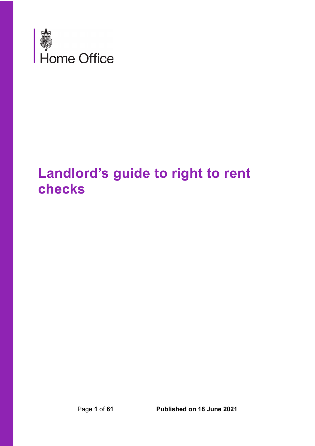

# **Landlord's guide to right to rent checks**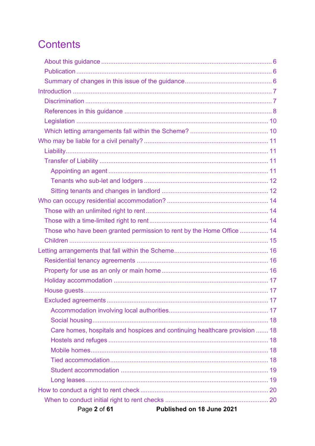# **Contents**

| Those who have been granted permission to rent by the Home Office  14      |  |
|----------------------------------------------------------------------------|--|
|                                                                            |  |
|                                                                            |  |
|                                                                            |  |
|                                                                            |  |
|                                                                            |  |
|                                                                            |  |
|                                                                            |  |
|                                                                            |  |
|                                                                            |  |
| Care homes, hospitals and hospices and continuing healthcare provision  18 |  |
|                                                                            |  |
|                                                                            |  |
|                                                                            |  |
|                                                                            |  |
|                                                                            |  |
|                                                                            |  |
|                                                                            |  |
| Published on 18 June 2021<br>Page 2 of 61                                  |  |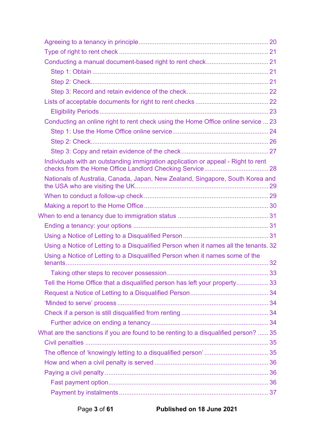| Conducting an online right to rent check using the Home Office online service  23    |  |
|--------------------------------------------------------------------------------------|--|
|                                                                                      |  |
|                                                                                      |  |
|                                                                                      |  |
| Individuals with an outstanding immigration application or appeal - Right to rent    |  |
| Nationals of Australia, Canada, Japan, New Zealand, Singapore, South Korea and       |  |
|                                                                                      |  |
|                                                                                      |  |
|                                                                                      |  |
|                                                                                      |  |
|                                                                                      |  |
| Using a Notice of Letting to a Disqualified Person when it names all the tenants. 32 |  |
| Using a Notice of Letting to a Disqualified Person when it names some of the         |  |
|                                                                                      |  |
| Tell the Home Office that a disqualified person has left your property 33            |  |
|                                                                                      |  |
|                                                                                      |  |
|                                                                                      |  |
|                                                                                      |  |
| What are the sanctions if you are found to be renting to a disqualified person?  35  |  |
|                                                                                      |  |
|                                                                                      |  |
|                                                                                      |  |
|                                                                                      |  |
|                                                                                      |  |
|                                                                                      |  |
|                                                                                      |  |

Page **3** of **61 Published on 18 June 2021**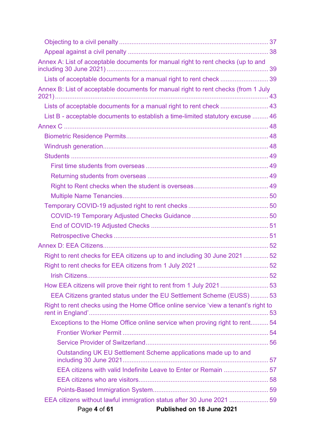| Annex A: List of acceptable documents for manual right to rent checks (up to and    |  |
|-------------------------------------------------------------------------------------|--|
| Lists of acceptable documents for a manual right to rent check  39                  |  |
| Annex B: List of acceptable documents for manual right to rent checks (from 1 July  |  |
| Lists of acceptable documents for a manual right to rent check  43                  |  |
| List B - acceptable documents to establish a time-limited statutory excuse  46      |  |
|                                                                                     |  |
|                                                                                     |  |
|                                                                                     |  |
|                                                                                     |  |
|                                                                                     |  |
|                                                                                     |  |
|                                                                                     |  |
|                                                                                     |  |
|                                                                                     |  |
|                                                                                     |  |
|                                                                                     |  |
|                                                                                     |  |
|                                                                                     |  |
| Right to rent checks for EEA citizens up to and including 30 June 2021  52          |  |
|                                                                                     |  |
|                                                                                     |  |
| How EEA citizens will prove their right to rent from 1 July 2021  53                |  |
| EEA Citizens granted status under the EU Settlement Scheme (EUSS)  53               |  |
| Right to rent checks using the Home Office online service 'view a tenant's right to |  |
| Exceptions to the Home Office online service when proving right to rent 54          |  |
|                                                                                     |  |
|                                                                                     |  |
| Outstanding UK EU Settlement Scheme applications made up to and                     |  |
| EEA citizens with valid Indefinite Leave to Enter or Remain 57                      |  |
|                                                                                     |  |
|                                                                                     |  |
| EEA citizens without lawful immigration status after 30 June 2021 59                |  |
| Page 4 of 61<br>Published on 18 June 2021                                           |  |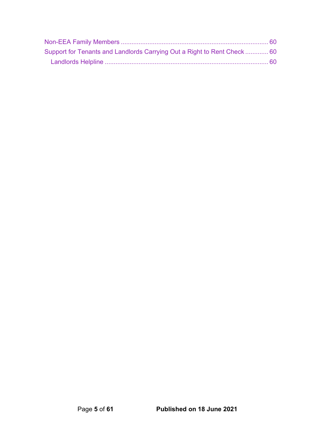| Support for Tenants and Landlords Carrying Out a Right to Rent Check  60 |  |
|--------------------------------------------------------------------------|--|
|                                                                          |  |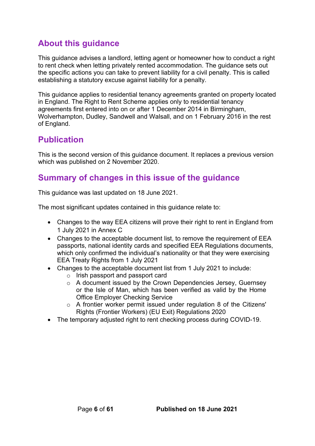## <span id="page-5-0"></span>**About this guidance**

This guidance advises a landlord, letting agent or homeowner how to conduct a right to rent check when letting privately rented accommodation. The guidance sets out the specific actions you can take to prevent liability for a civil penalty. This is called establishing a statutory excuse against liability for a penalty.

This guidance applies to residential tenancy agreements granted on property located in England. The Right to Rent Scheme applies only to residential tenancy agreements first entered into on or after 1 December 2014 in Birmingham, Wolverhampton, Dudley, Sandwell and Walsall, and on 1 February 2016 in the rest of England.

## <span id="page-5-1"></span>**Publication**

This is the second version of this guidance document. It replaces a previous version which was published on 2 November 2020.

## <span id="page-5-2"></span>**Summary of changes in this issue of the guidance**

This guidance was last updated on 18 June 2021.

The most significant updates contained in this guidance relate to:

- Changes to the way EEA citizens will prove their right to rent in England from 1 July 2021 in Annex C
- Changes to the acceptable document list, to remove the requirement of EEA passports, national identity cards and specified EEA Regulations documents, which only confirmed the individual's nationality or that they were exercising EEA Treaty Rights from 1 July 2021
- Changes to the acceptable document list from 1 July 2021 to include:
	- o Irish passport and passport card
	- o A document issued by the Crown Dependencies Jersey, Guernsey or the Isle of Man, which has been verified as valid by the Home Office Employer Checking Service
	- $\circ$  A frontier worker permit issued under regulation 8 of the Citizens' Rights (Frontier Workers) (EU Exit) Regulations 2020
- The temporary adjusted right to rent checking process during COVID-19.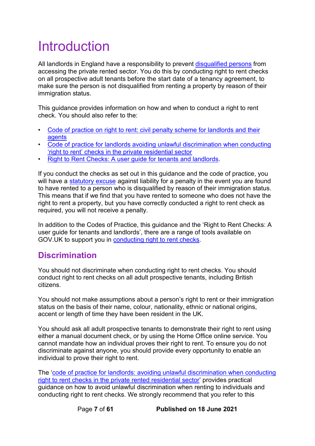# <span id="page-6-0"></span>Introduction

All landlords in England have a responsibility to prevent [disqualified persons](#page-7-0) from accessing the private rented sector. You do this by conducting right to rent checks on all prospective adult tenants before the start date of a tenancy agreement, to make sure the person is not disqualified from renting a property by reason of their immigration status.

This guidance provides information on how and when to conduct a right to rent check. You should also refer to the:

- [Code of practice on right to rent: civil penalty scheme for landlords and their](https://www.gov.uk/government/publications/right-to-rent-landlords-code-of-practice)  [agents](https://www.gov.uk/government/publications/right-to-rent-landlords-code-of-practice)
- [Code of practice for landlords avoiding unlawful discrimination when conducting](https://www.gov.uk/government/publications/right-to-rent-landlords-code-of-practice)  ['right to rent' checks in the private residential sector](https://www.gov.uk/government/publications/right-to-rent-landlords-code-of-practice)
- [Right to Rent Checks: A user guide for tenants and landlords.](https://www.gov.uk/government/publications/right-to-rent-document-checks-a-user-guide)

If you conduct the checks as set out in this guidance and the code of practice, you will have a [statutory excuse](#page-7-0) against liability for a penalty in the event you are found to have rented to a person who is disqualified by reason of their immigration status. This means that if we find that you have rented to someone who does not have the right to rent a property, but you have correctly conducted a right to rent check as required, you will not receive a penalty.

In addition to the Codes of Practice, this guidance and the 'Right to Rent Checks: A user guide for tenants and landlords', there are a range of tools available on GOV.UK to support you in conducting [right to rent checks.](https://www.gov.uk/government/collections/landlords-immigration-right-to-rent-checks)

## <span id="page-6-1"></span>**Discrimination**

You should not discriminate when conducting right to rent checks. You should conduct right to rent checks on all adult prospective tenants, including British citizens.

You should not make assumptions about a person's right to rent or their immigration status on the basis of their name, colour, nationality, ethnic or national origins, accent or length of time they have been resident in the UK.

You should ask all adult prospective tenants to demonstrate their right to rent using either a manual document check, or by using the Home Office online service. You cannot mandate how an individual proves their right to rent. To ensure you do not discriminate against anyone, you should provide every opportunity to enable an individual to prove their right to rent.

The 'code of practice [for landlords: avoiding unlawful discrimination when conducting](https://www.gov.uk/government/publications/right-to-rent-landlords-code-of-practice)  [right to rent checks in the private rented residential sector'](https://www.gov.uk/government/publications/right-to-rent-landlords-code-of-practice) provides practical guidance on how to avoid unlawful discrimination when renting to individuals and conducting right to rent checks. We strongly recommend that you refer to this

Page **7** of **61 Published on 18 June 2021**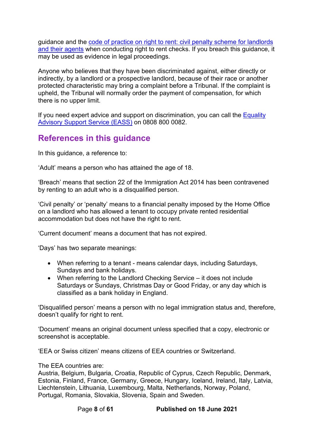guidance and the code of practice [on right to rent: civil penalty scheme for landlords](https://www.gov.uk/government/publications/right-to-rent-landlords-code-of-practice)  [and their agents](https://www.gov.uk/government/publications/right-to-rent-landlords-code-of-practice) when conducting right to rent checks. If you breach this guidance, it may be used as evidence in legal proceedings.

Anyone who believes that they have been discriminated against, either directly or indirectly, by a landlord or a prospective landlord, because of their race or another protected characteristic may bring a complaint before a Tribunal. If the complaint is upheld, the Tribunal will normally order the payment of compensation, for which there is no upper limit.

If you need expert advice and support on discrimination, you can call the Equality [Advisory Support Service \(EASS\)](https://www.equalityadvisoryservice.com/) on 0808 800 0082.

### <span id="page-7-0"></span>**References in this guidance**

In this guidance, a reference to:

'Adult' means a person who has attained the age of 18.

'Breach' means that section 22 of the Immigration Act 2014 has been contravened by renting to an adult who is a disqualified person.

'Civil penalty' or 'penalty' means to a financial penalty imposed by the Home Office on a landlord who has allowed a tenant to occupy private rented residential accommodation but does not have the right to rent.

'Current document' means a document that has not expired.

'Days' has two separate meanings:

- When referring to a tenant means calendar days, including Saturdays, Sundays and bank holidays.
- When referring to the Landlord Checking Service it does not include Saturdays or Sundays, Christmas Day or Good Friday, or any day which is classified as a bank holiday in England.

'Disqualified person' means a person with no legal immigration status and, therefore, doesn't qualify for right to rent.

'Document' means an original document unless specified that a copy, electronic or screenshot is acceptable.

'EEA or Swiss citizen' means citizens of EEA countries or Switzerland.

The EEA countries are:

Austria, Belgium, Bulgaria, Croatia, Republic of Cyprus, Czech Republic, Denmark, Estonia, Finland, France, Germany, Greece, Hungary, Iceland, Ireland, Italy, Latvia, Liechtenstein, Lithuania, Luxembourg, Malta, Netherlands, Norway, Poland, Portugal, Romania, Slovakia, Slovenia, Spain and Sweden.

Page **8** of **61 Published on 18 June 2021**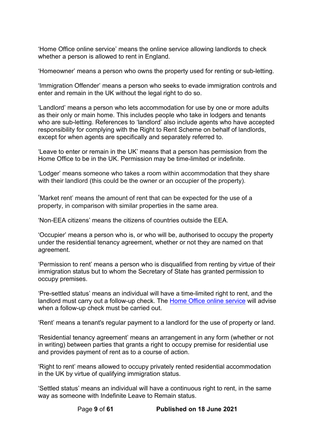'Home Office online service' means the online service allowing landlords to check whether a person is allowed to rent in England.

'Homeowner' means a person who owns the property used for renting or sub-letting.

'Immigration Offender' means a person who seeks to evade immigration controls and enter and remain in the UK without the legal right to do so.

'Landlord' means a person who lets accommodation for use by one or more adults as their only or main home. This includes people who take in lodgers and tenants who are sub-letting. References to 'landlord' also include agents who have accepted responsibility for complying with the Right to Rent Scheme on behalf of landlords, except for when agents are specifically and separately referred to.

'Leave to enter or remain in the UK' means that a person has permission from the Home Office to be in the UK. Permission may be time-limited or indefinite.

'Lodger' means someone who takes a room within accommodation that they share with their landlord (this could be the owner or an occupier of the property).

'Market rent' means the amount of rent that can be expected for the use of a property, in comparison with similar properties in the same area.

'Non-EEA citizens' means the citizens of countries outside the EEA.

'Occupier' means a person who is, or who will be, authorised to occupy the property under the residential tenancy agreement, whether or not they are named on that agreement.

'Permission to rent' means a person who is disqualified from renting by virtue of their immigration status but to whom the Secretary of State has granted permission to occupy premises.

'Pre-settled status' means an individual will have a time-limited right to rent, and the landlord must carry out a follow-up check. The [Home Office online service](https://www.gov.uk/view-right-to-rent) will advise when a follow-up check must be carried out.

'Rent' means a tenant's regular payment to a landlord for the use of property or land.

'Residential tenancy agreement' means an arrangement in any form (whether or not in writing) between parties that grants a right to occupy premise for residential use and provides payment of rent as to a course of action.

'Right to rent' means allowed to occupy privately rented residential accommodation in the UK by virtue of qualifying immigration status.

'Settled status' means an individual will have a continuous right to rent, in the same way as someone with Indefinite Leave to Remain status.

Page **9** of **61 Published on 18 June 2021**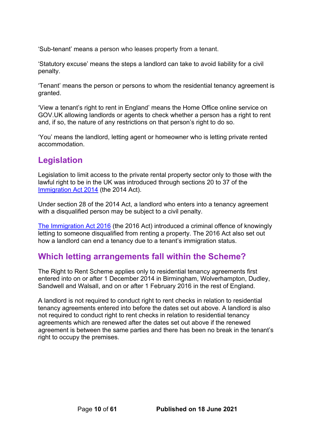'Sub-tenant' means a person who leases property from a tenant.

'Statutory excuse' means the steps a landlord can take to avoid liability for a civil penalty.

'Tenant' means the person or persons to whom the residential tenancy agreement is granted.

'View a tenant's right to rent in England' means the Home Office online service on GOV.UK allowing landlords or agents to check whether a person has a right to rent and, if so, the nature of any restrictions on that person's right to do so.

'You' means the landlord, letting agent or homeowner who is letting private rented accommodation.

## <span id="page-9-0"></span>**Legislation**

Legislation to limit access to the private rental property sector only to those with the lawful right to be in the UK was introduced through sections 20 to 37 of the [Immigration Act 2014](https://eur01.safelinks.protection.outlook.com/?url=https%3A%2F%2Fwww.legislation.gov.uk%2Fukpga%2F2014%2F22%2Fcontents%2Fenacted&data=02%7C01%7CJessica.Barker7%40homeoffice.gov.uk%7Ced8c672bb14845b11e7c08d870f6be22%7Cf24d93ecb2914192a08af182245945c2%7C0%7C0%7C637383552346251482&sdata=kTiOHlK4T%2BeAexZj0WiQRz7odhuwTqv69%2BrkRFdUYEk%3D&reserved=0) (the 2014 Act).

Under section 28 of the 2014 Act, a landlord who enters into a tenancy agreement with a disqualified person may be subject to a civil penalty.

[The Immigration Act 2016](https://eur01.safelinks.protection.outlook.com/?url=https%3A%2F%2Fwww.legislation.gov.uk%2Fukpga%2F2016%2F19%2Fcontents%2Fenacted&data=02%7C01%7CJessica.Barker7%40homeoffice.gov.uk%7Ced8c672bb14845b11e7c08d870f6be22%7Cf24d93ecb2914192a08af182245945c2%7C0%7C0%7C637383552346261479&sdata=op%2Bj%2BMlkVJcFAQ5DKhr0W8Zjl2DqczqGinvn5Inlg8g%3D&reserved=0) (the 2016 Act) introduced a criminal offence of knowingly letting to someone disqualified from renting a property. The 2016 Act also set out how a landlord can end a tenancy due to a tenant's immigration status.

### <span id="page-9-1"></span>**Which letting arrangements fall within the Scheme?**

The Right to Rent Scheme applies only to residential tenancy agreements first entered into on or after 1 December 2014 in Birmingham, Wolverhampton, Dudley, Sandwell and Walsall, and on or after 1 February 2016 in the rest of England.

A landlord is not required to conduct right to rent checks in relation to residential tenancy agreements entered into before the dates set out above. A landlord is also not required to conduct right to rent checks in relation to residential tenancy agreements which are renewed after the dates set out above if the renewed agreement is between the same parties and there has been no break in the tenant's right to occupy the premises.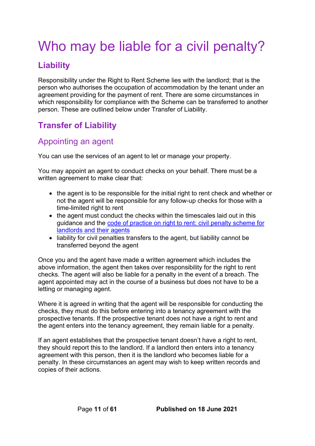# <span id="page-10-0"></span>Who may be liable for a civil penalty?

## <span id="page-10-1"></span>**Liability**

Responsibility under the Right to Rent Scheme lies with the landlord; that is the person who authorises the occupation of accommodation by the tenant under an agreement providing for the payment of rent. There are some circumstances in which responsibility for compliance with the Scheme can be transferred to another person. These are outlined below under Transfer of Liability.

## <span id="page-10-2"></span>**Transfer of Liability**

## <span id="page-10-3"></span>Appointing an agent

You can use the services of an agent to let or manage your property.

You may appoint an agent to conduct checks on your behalf. There must be a written agreement to make clear that:

- the agent is to be responsible for the [initial right to rent check](#page-19-1) and whether or not the agent will be responsible for any follow-up checks for those with a [time-limited right to rent](#page-13-2)
- the agent must conduct the checks within the timescales laid out in this guidance and the [code of practice on right to rent: civil penalty scheme for](https://www.gov.uk/government/publications/right-to-rent-landlords-code-of-practice)  [landlords and their agents](https://www.gov.uk/government/publications/right-to-rent-landlords-code-of-practice)
- liability for civil penalties transfers to the agent, but liability cannot be transferred beyond the agent

Once you and the agent have made a written agreement which includes the above information, the agent then takes over responsibility for the right to rent checks. The agent will also be liable for a penalty in the event of a breach. The agent appointed may act in the course of a business but does not have to be a letting or managing agent.

Where it is agreed in writing that the agent will be responsible for conducting the checks, they must do this before entering into a tenancy agreement with the prospective tenants. If the prospective tenant does not have a right to rent and the agent enters into the tenancy agreement, they remain liable for a penalty.

If an agent establishes that the prospective tenant doesn't have a right to rent, they should report this to the landlord. If a landlord then enters into a tenancy agreement with this person, then it is the landlord who becomes liable for a penalty. In these circumstances an agent may wish to keep written records and copies of their actions.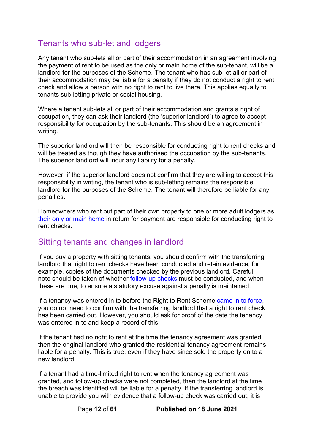## <span id="page-11-0"></span>Tenants who sub-let and lodgers

Any tenant who sub-lets all or part of their accommodation in an agreement involving the payment of rent to be used as the only or main home of the sub-tenant, will be a landlord for the purposes of the Scheme. The tenant who has sub-let all or part of their accommodation may be liable for a penalty if they do not conduct a right to rent check and allow a person with no right to rent to live there. This applies equally to tenants sub-letting private or social housing.

Where a tenant sub-lets all or part of their accommodation and grants a right of occupation, they can ask their landlord (the 'superior landlord') to agree to accept responsibility for occupation by the sub-tenants. This should be an agreement in writing.

The superior landlord will then be responsible for conducting right to rent checks and will be treated as though they have authorised the occupation by the sub-tenants. The superior landlord will incur any liability for a penalty.

However, if the superior landlord does not confirm that they are willing to accept this responsibility in writing, the tenant who is sub-letting remains the responsible landlord for the purposes of the Scheme. The tenant will therefore be liable for any penalties.

Homeowners who rent out part of their own property to one or more adult lodgers as [their only or main home](#page-15-2) in return for payment are responsible for conducting right to rent checks.

### <span id="page-11-1"></span>Sitting tenants and changes in landlord

If you buy a property with sitting tenants, you should confirm with the transferring landlord that right to rent checks have been conducted and retain evidence, for example, copies of the documents checked by the previous landlord. Careful note should be taken of whether [follow-up checks](#page-28-1) must be conducted, and when these are due, to ensure a statutory excuse against a penalty is maintained.

If a tenancy was entered in to before the Right to Rent Scheme [came in to force,](#page-9-1) you do not need to confirm with the transferring landlord that a right to rent check has been carried out. However, you should ask for proof of the date the tenancy was entered in to and keep a record of this.

If the tenant had no right to rent at the time the tenancy agreement was granted, then the original landlord who granted the residential tenancy agreement remains liable for a penalty. This is true, even if they have since sold the property on to a new landlord.

If a tenant had a time-limited right to rent when the tenancy agreement was granted, and follow-up checks were not completed, then the landlord at the time the breach was identified will be liable for a penalty. If the transferring landlord is unable to provide you with evidence that a follow-up check was carried out, it is

Page **12** of **61 Published on 18 June 2021**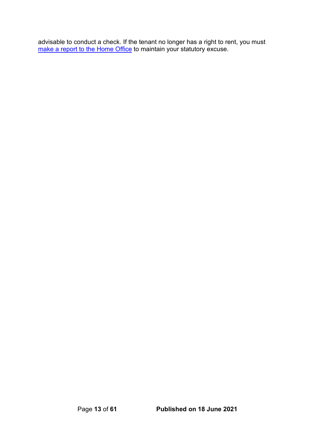advisable to conduct a check. If the tenant no longer has a right to rent, you must <u>[make a report to the Home Office](#page-29-0)</u> to maintain your statutory excuse.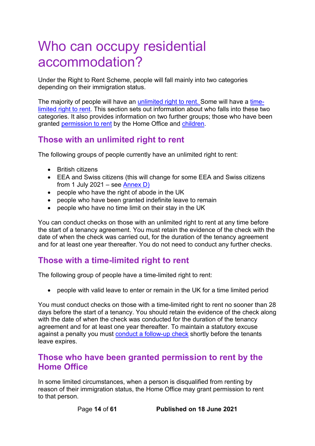# <span id="page-13-0"></span>Who can occupy residential accommodation?

Under the Right to Rent Scheme, people will fall mainly into two categories depending on their immigration status.

The majority of people will have an [unlimited right to rent.](#page-13-1) Some will have a [time](#page-13-2)[limited right to rent.](#page-13-2) This section sets out information about who falls into these two categories. It also provides information on two further groups; those who have been granted [permission to rent](#page-13-3) by the Home Office and [children.](#page-14-0)

## <span id="page-13-1"></span>**Those with an unlimited right to rent**

The following groups of people currently have an unlimited right to rent:

- British citizens
- EEA and Swiss citizens (this will change for some EEA and Swiss citizens from 1 July 2021 – see [Annex D\)](#page-51-0)
- people who have the right of abode in the UK
- people who have been granted indefinite leave to remain
- people who have no time limit on their stay in the UK

You can conduct checks on those with an unlimited right to rent at any time before the start of a tenancy agreement. You must retain the evidence of the check with the date of when the check was carried out, for the duration of the tenancy agreement and for at least one year thereafter. You do not need to conduct any further checks.

## <span id="page-13-2"></span>**Those with a time-limited right to rent**

The following group of people have a time-limited right to rent:

• people with valid leave to enter or remain in the UK for a time limited period

You must conduct checks on those with a time-limited right to rent no sooner than 28 days before the start of a tenancy. You should retain the evidence of the check along with the date of when the check was conducted for the duration of the tenancy agreement and for at least one year thereafter. To maintain a statutory excuse against a penalty you must conduct [a follow-up check](#page-28-1) shortly before the tenants leave expires.

### <span id="page-13-3"></span>**Those who have been granted permission to rent by the Home Office**

In some limited circumstances, when a person is disqualified from renting by reason of their immigration status, the Home Office may grant permission to rent to that person.

Page **14** of **61 Published on 18 June 2021**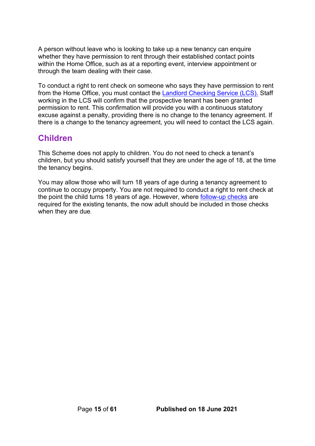A person without leave who is looking to take up a new tenancy can enquire whether they have permission to rent through their established contact points within the Home Office, such as at a reporting event, interview appointment or through the team dealing with their case.

To conduct a right to rent check on someone who says they have permission to rent from the Home Office, you must contact the [Landlord Checking Service \(LCS\).](https://eforms.homeoffice.gov.uk/outreach/lcs-application.ofml) Staff working in the LCS will confirm that the prospective tenant has been granted permission to rent. This confirmation will provide you with a continuous statutory excuse against a penalty, providing there is no change to the tenancy agreement. If there is a change to the tenancy agreement, you will need to contact the LCS again.

### <span id="page-14-0"></span>**Children**

This Scheme does not apply to children. You do not need to check a tenant's children, but you should satisfy yourself that they are under the age of 18, at the time the tenancy begins.

You may allow those who will turn 18 years of age during a tenancy agreement to continue to occupy property. You are not required to conduct a right to rent check at the point the child turns 18 years of age. However, where [follow-up checks](#page-28-1) are required for the existing tenants, the now adult should be included in those checks when they are due.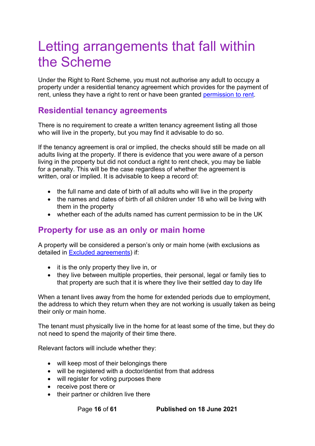# <span id="page-15-0"></span>Letting arrangements that fall within the Scheme

Under the Right to Rent Scheme, you must not authorise any adult to occupy a property under a residential tenancy agreement which provides for the payment of rent, unless they have a right to rent or have been granted [permission to rent.](#page-13-3)

### <span id="page-15-1"></span>**Residential tenancy agreements**

There is no requirement to create a written tenancy agreement listing all those who will live in the property, but you may find it advisable to do so.

If the tenancy agreement is oral or implied, the checks should still be made on all adults living at the property. If there is evidence that you were aware of a person living in the property but did not conduct a right to rent check, you may be liable for a penalty. This will be the case regardless of whether the agreement is written, oral or implied. It is advisable to keep a record of:

- the full name and date of birth of all adults who will live in the property
- the names and dates of birth of all children under 18 who will be living with them in the property
- whether each of the adults named has current permission to be in the UK

### <span id="page-15-2"></span>**Property for use as an only or main home**

A property will be considered a person's only or main home (with exclusions as detailed in [Excluded agreements\)](#page-16-2) if:

- it is the only property they live in, or
- they live between multiple properties, their personal, legal or family ties to that property are such that it is where they live their settled day to day life

When a tenant lives away from the home for extended periods due to employment, the address to which they return when they are not working is usually taken as being their only or main home.

The tenant must physically live in the home for at least some of the time, but they do not need to spend the majority of their time there.

Relevant factors will include whether they:

- will keep most of their belongings there
- will be registered with a doctor/dentist from that address
- will register for voting purposes there
- receive post there or
- their partner or children live there

Page **16** of **61 Published on 18 June 2021**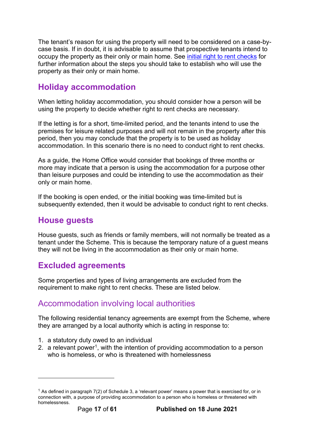The tenant's reason for using the property will need to be considered on a case-bycase basis. If in doubt, it is advisable to assume that prospective tenants intend to occupy the property as their only or main home. See [initial right to rent checks](#page-19-1) for further information about the steps you should take to establish who will use the property as their only or main home.

## <span id="page-16-0"></span>**Holiday accommodation**

When letting holiday accommodation, you should consider how a person will be using the property to decide whether right to rent checks are necessary.

If the letting is for a short, time-limited period, and the tenants intend to use the premises for leisure related purposes and will not remain in the property after this period, then you may conclude that the property is to be used as holiday accommodation. In this scenario there is no need to conduct right to rent checks.

As a guide, the Home Office would consider that bookings of three months or more may indicate that a person is using the accommodation for a purpose other than leisure purposes and could be intending to use the accommodation as their only or main home.

If the booking is open ended, or the initial booking was time-limited but is subsequently extended, then it would be advisable to conduct right to rent checks.

## <span id="page-16-1"></span>**House guests**

House guests, such as friends or family members, will not normally be treated as a tenant under the Scheme. This is because the temporary nature of a guest means they will not be living in the accommodation as their only or main home.

## <span id="page-16-2"></span>**Excluded agreements**

Some properties and types of living arrangements are excluded from the requirement to make right to rent checks. These are listed below.

### <span id="page-16-3"></span>Accommodation involving local authorities

The following residential tenancy agreements are exempt from the Scheme, where they are arranged by a local authority which is acting in response to:

- 1. a statutory duty owed to an individual
- 2. a relevant power<sup>1</sup>, with the intention of providing accommodation to a person who is homeless, or who is threatened with homelessness

<span id="page-16-4"></span><sup>&</sup>lt;sup>1</sup> As defined in paragraph  $7(2)$  of Schedule 3, a 'relevant power' means a power that is exercised for, or in connection with, a purpose of providing accommodation to a person who is homeless or threatened with homelessness.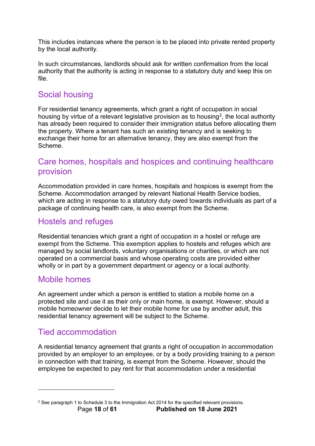This includes instances where the person is to be placed into private rented property by the local authority.

In such circumstances, landlords should ask for written confirmation from the local authority that the authority is acting in response to a statutory duty and keep this on file.

## <span id="page-17-0"></span>Social housing

For residential tenancy agreements, which grant a right of occupation in social housing by virtue of a relevant legislative provision as to housing<sup>[2](#page-17-5)</sup>, the local authority has already been required to consider their immigration status before allocating them the property. Where a tenant has such an existing tenancy and is seeking to exchange their home for an alternative tenancy, they are also exempt from the Scheme.

## <span id="page-17-1"></span>Care homes, hospitals and hospices and continuing healthcare provision

Accommodation provided in care homes, hospitals and hospices is exempt from the Scheme. Accommodation arranged by relevant National Health Service bodies, which are acting in response to a statutory duty owed towards individuals as part of a package of continuing health care, is also exempt from the Scheme.

## <span id="page-17-2"></span>Hostels and refuges

Residential tenancies which grant a right of occupation in a hostel or refuge are exempt from the Scheme. This exemption applies to hostels and refuges which are managed by social landlords, voluntary organisations or charities, or which are not operated on a commercial basis and whose operating costs are provided either wholly or in part by a government department or agency or a local authority.

### <span id="page-17-3"></span>Mobile homes

An agreement under which a person is entitled to station a mobile home on a protected site and use it as their only or main home, is exempt. However, should a mobile homeowner decide to let their mobile home for use by another adult, this residential tenancy agreement will be subject to the Scheme.

## <span id="page-17-4"></span>Tied accommodation

A residential tenancy agreement that grants a right of occupation in accommodation provided by an employer to an employee, or by a body providing training to a person in connection with that training, is exempt from the Scheme. However, should the employee be expected to pay rent for that accommodation under a residential

<span id="page-17-5"></span>Page **18** of **61 Published on 18 June 2021** <sup>2</sup> See paragraph 1 to Schedule 3 to the Immigration Act 2014 for the specified relevant provisions.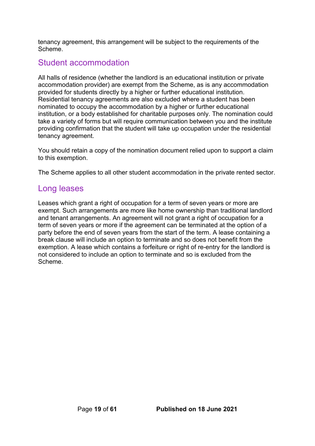tenancy agreement, this arrangement will be subject to the requirements of the Scheme.

### <span id="page-18-0"></span>Student accommodation

All halls of residence (whether the landlord is an educational institution or private accommodation provider) are exempt from the Scheme, as is any accommodation provided for students directly by a higher or further educational institution. Residential tenancy agreements are also excluded where a student has been nominated to occupy the accommodation by a higher or further educational institution, or a body established for charitable purposes only. The nomination could take a variety of forms but will require communication between you and the institute providing confirmation that the student will take up occupation under the residential tenancy agreement.

You should retain a copy of the nomination document relied upon to support a claim to this exemption.

The Scheme applies to all other student accommodation in the private rented sector.

### <span id="page-18-1"></span>Long leases

Leases which grant a right of occupation for a term of seven years or more are exempt. Such arrangements are more like home ownership than traditional landlord and tenant arrangements. An agreement will not grant a right of occupation for a term of seven years or more if the agreement can be terminated at the option of a party before the end of seven years from the start of the term. A lease containing a break clause will include an option to terminate and so does not benefit from the exemption. A lease which contains a forfeiture or right of re-entry for the landlord is not considered to include an option to terminate and so is excluded from the Scheme.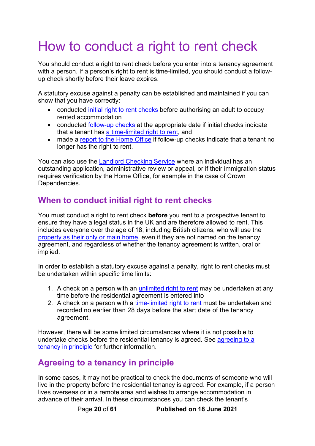# <span id="page-19-0"></span>How to conduct a right to rent check

You should conduct a right to rent check before you enter into a tenancy agreement with a person. If a person's right to rent is time-limited, you should conduct a followup check shortly before their leave expires.

A statutory excuse against a penalty can be established and maintained if you can show that you have correctly:

- conducted [initial right to rent checks](#page-19-1) before authorising an adult to occupy rented accommodation
- conducted [follow-up checks](#page-28-1) at the appropriate date if initial checks indicate that a tenant has [a time-limited right to rent,](#page-13-2) and
- made a [report to the Home Office](#page-29-0) if follow-up checks indicate that a tenant no longer has the right to rent.

You can also use the [Landlord Checking Service](https://eforms.homeoffice.gov.uk/outreach/lcs-application.ofml) where an individual has an outstanding application, administrative review or appeal, or if their immigration status requires verification by the Home Office, for example in the case of Crown Dependencies.

## <span id="page-19-1"></span>**When to conduct initial right to rent checks**

You must conduct a right to rent check **before** you rent to a prospective tenant to ensure they have a legal status in the UK and are therefore allowed to rent. This includes everyone over the age of 18, including British citizens, who will use the [property as their only or main home,](#page-15-2) even if they are not named on the tenancy agreement, and regardless of whether the tenancy agreement is written, oral or implied.

In order to establish a statutory excuse against a penalty, right to rent checks must be undertaken within specific time limits:

- 1. A check on a person with an [unlimited right to rent](#page-13-1) may be undertaken at any time before the residential agreement is entered into
- 2. A check on a person with a [time-limited right to rent](#page-13-2) must be undertaken and recorded no earlier than 28 days before the start date of the tenancy agreement.

However, there will be some limited circumstances where it is not possible to undertake checks before the residential tenancy is agreed. See [agreeing to a](#page-19-2)  [tenancy in principle](#page-19-2) for further information.

## <span id="page-19-2"></span>**Agreeing to a tenancy in principle**

In some cases, it may not be practical to check the documents of someone who will live in the property before the residential tenancy is agreed. For example, if a person lives overseas or in a remote area and wishes to arrange accommodation in advance of their arrival. In these circumstances you can check the tenant's

Page **20** of **61 Published on 18 June 2021**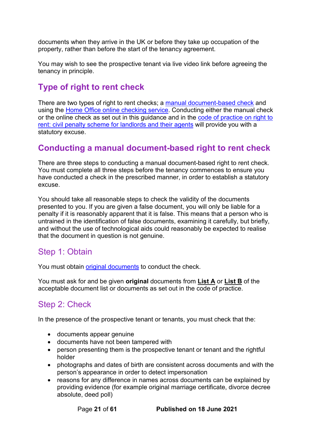documents when they arrive in the UK or before they take up occupation of the property, rather than before the start of the tenancy agreement.

You may wish to see the prospective tenant via live video link before agreeing the tenancy in principle.

## <span id="page-20-0"></span>**Type of right to rent check**

There are two types of right to rent checks; a [manual document-based check](#page-20-1) and using the [Home Office online checking service.](#page-22-1) Conducting either the manual check or the online check as set out in this guidance and in the [code of practice on right to](https://www.gov.uk/government/publications/right-to-rent-landlords-code-of-practice)  [rent: civil penalty scheme for landlords and their agents](https://www.gov.uk/government/publications/right-to-rent-landlords-code-of-practice) will provide you with a statutory excuse.

## <span id="page-20-1"></span>**Conducting a manual document-based right to rent check**

There are three steps to conducting a manual document-based right to rent check. You must complete all three steps before the tenancy commences to ensure you have conducted a check in the prescribed manner, in order to establish a statutory excuse.

You should take all reasonable steps to check the validity of the documents presented to you. If you are given a false document, you will only be liable for a penalty if it is reasonably apparent that it is false. This means that a person who is untrained in the identification of false documents, examining it carefully, but briefly, and without the use of technological aids could reasonably be expected to realise that the document in question is not genuine.

## <span id="page-20-2"></span>Step 1: Obtain

You must obtain [original documents](#page-7-0) to conduct the check.

You must ask for and be given **original** documents from **List A** or **List B** of the acceptable document list or documents as set out in the code of practice.

## <span id="page-20-3"></span>Step 2: Check

In the presence of the prospective tenant or tenants, you must check that the:

- documents appear genuine
- documents have not been tampered with
- person presenting them is the prospective tenant or tenant and the rightful holder
- photographs and dates of birth are consistent across documents and with the person's appearance in order to detect impersonation
- reasons for any difference in names across documents can be explained by providing evidence (for example original marriage certificate, divorce decree absolute, deed poll)

Page **21** of **61 Published on 18 June 2021**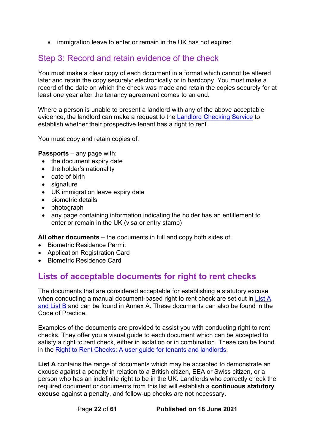• immigration leave to enter or remain in the UK has not expired

### <span id="page-21-0"></span>Step 3: Record and retain evidence of the check

You must make a clear copy of each document in a format which cannot be altered later and retain the copy securely: electronically or in hardcopy. You must make a record of the date on which the check was made and retain the copies securely for at least one year after the tenancy agreement comes to an end.

Where a person is unable to present a landlord with any of the above acceptable evidence, the landlord can make a request to the [Landlord Checking Service](https://eforms.homeoffice.gov.uk/outreach/lcs-application.ofml) to establish whether their prospective tenant has a right to rent.

You must copy and retain copies of:

**Passports** – any page with:

- the document expiry date
- the holder's nationality
- date of birth
- signature
- UK immigration leave expiry date
- biometric details
- photograph
- any page containing information indicating the holder has an entitlement to enter or remain in the UK (visa or entry stamp)

**All other documents** – the documents in full and copy both sides of:

- Biometric Residence Permit
- Application Registration Card
- Biometric Residence Card

## <span id="page-21-1"></span>**Lists of acceptable documents for right to rent checks**

The documents that are considered acceptable for establishing a statutory excuse when conducting a manual document-based right to rent check are set out in [List A](#page-38-1) [and List B](#page-38-1) and can be found in Annex A. These documents can also be found in the Code of Practice.

Examples of the documents are provided to assist you with conducting right to rent checks. They offer you a visual guide to each document which can be accepted to satisfy a right to rent check, either in isolation or in combination. These can be found in the [Right to Rent Checks: A user guide for tenants and landlords.](https://www.gov.uk/government/publications/right-to-rent-document-checks-a-user-guide)

**List A** contains the range of documents which may be accepted to demonstrate an excuse against a penalty in relation to a British citizen, EEA or Swiss citizen, or a person who has an indefinite right to be in the UK. Landlords who correctly check the required document or documents from this list will establish a **continuous statutory excuse** against a penalty, and follow-up checks are not necessary.

Page **22** of **61 Published on 18 June 2021**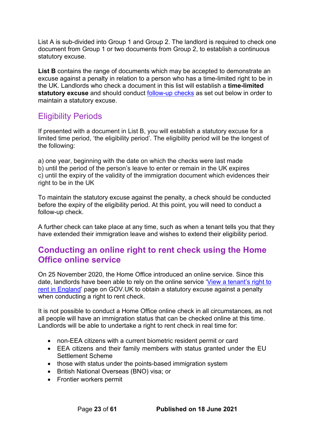List A is sub-divided into Group 1 and Group 2. The landlord is required to check one document from Group 1 or two documents from Group 2, to establish a continuous statutory excuse.

**List B** contains the range of documents which may be accepted to demonstrate an excuse against a penalty in relation to a person who has a time-limited right to be in the UK. Landlords who check a document in this list will establish a **time-limited statutory excuse** and should conduct [follow-up](#page-28-1) checks as set out below in order to maintain a statutory excuse.

## <span id="page-22-0"></span>Eligibility Periods

If presented with a document in List B, you will establish a statutory excuse for a limited time period, 'the eligibility period'. The eligibility period will be the longest of the following:

a) one year, beginning with the date on which the checks were last made b) until the period of the person's leave to enter or remain in the UK expires c) until the expiry of the validity of the immigration document which evidences their right to be in the UK

To maintain the statutory excuse against the penalty, a check should be conducted before the expiry of the eligibility period. At this point, you will need to conduct a follow-up check.

A further check can take place at any time, such as when a tenant tells you that they have extended their immigration leave and wishes to extend their eligibility period.

### <span id="page-22-1"></span>**Conducting an online right to rent check using the Home Office online service**

On 25 November 2020, the Home Office introduced an online service. Since this date, landlords have been able to rely on the online service 'View [a tenant's right to](http://www.gov.uk/view-right-to-rent)  rent [in England'](http://www.gov.uk/view-right-to-rent) page on GOV.UK to obtain a statutory excuse against a penalty when conducting a right to rent check.

It is not possible to conduct a Home Office online check in all circumstances, as not all people will have an immigration status that can be checked online at this time. Landlords will be able to undertake a right to rent check in real time for:

- non-EEA citizens with a current biometric resident permit or card
- EEA citizens and their family members with status granted under the EU Settlement Scheme
- those with status under the points-based immigration system
- British National Overseas (BNO) visa; or
- Frontier workers permit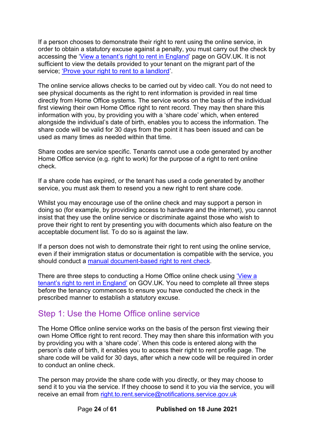If a person chooses to demonstrate their right to rent using the online service, in order to obtain a statutory excuse against a penalty, you must carry out the check by accessing the ['View a tenant's right to rent in England'](http://www.gov.uk/view-right-to-rent) page on GOV.UK. It is not sufficient to view the details provided to your tenant on the migrant part of the service; ['Prove your right to rent to a landlord'](http://www.gov.uk/prove-right-to-rent).

The online service allows checks to be carried out by video call. You do not need to see physical documents as the right to rent information is provided in real time directly from Home Office systems. The service works on the basis of the individual first viewing their own Home Office right to rent record. They may then share this information with you, by providing you with a 'share code' which, when entered alongside the individual's date of birth, enables you to access the information. The share code will be valid for 30 days from the point it has been issued and can be used as many times as needed within that time.

Share codes are service specific. Tenants cannot use a code generated by another Home Office service (e.g. right to work) for the purpose of a right to rent online check.

If a share code has expired, or the tenant has used a code generated by another service, you must ask them to resend you a new right to rent share code.

Whilst you may encourage use of the online check and may support a person in doing so (for example, by providing access to hardware and the internet), you cannot insist that they use the online service or discriminate against those who wish to prove their right to rent by presenting you with documents which also feature on the acceptable document list. To do so is against the law.

If a person does not wish to demonstrate their right to rent using the online service. even if their immigration status or documentation is compatible with the service, you should conduct a [manual document-based right to rent check.](#page-20-1)

There are three steps to conducting a Home Office online check using ['View a](http://www.gov.uk/view-right-to-rent)  [tenant's right to rent in England'](http://www.gov.uk/view-right-to-rent) on GOV.UK. You need to complete all three steps before the tenancy commences to ensure you have conducted the check in the prescribed manner to establish a statutory excuse.

### <span id="page-23-0"></span>Step 1: Use the Home Office online service

The Home Office online service works on the basis of the person first viewing their own Home Office right to rent record. They may then share this information with you by providing you with a 'share code'. When this code is entered along with the person's date of birth, it enables you to access their right to rent profile page. The share code will be valid for 30 days, after which a new code will be required in order to conduct an online check.

The person may provide the share code with you directly, or they may choose to send it to you via the service. If they choose to send it to you via the service, you will receive an email from [right.to.rent.service@notifications.service.gov.uk](mailto:right.to.rent.service@notifications.service.gov.uk)

Page **24** of **61 Published on 18 June 2021**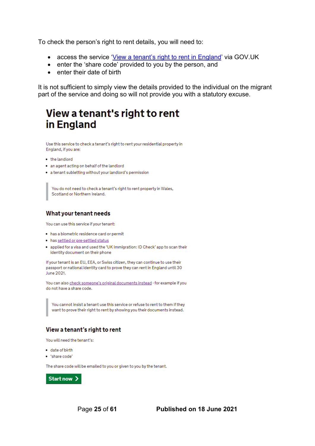To check the person's right to rent details, you will need to:

- access the service ['View a tenant's right to rent in England'](http://www.gov.uk/view-right-to-rent) via GOV.UK
- enter the 'share code' provided to you by the person, and
- enter their date of birth

It is not sufficient to simply view the details provided to the individual on the migrant part of the service and doing so will not provide you with a statutory excuse.

# View a tenant's right to rent in England

Use this service to check a tenant's right to rent your residential property in England, if you are:

- the landlord
- . an agent acting on behalf of the landlord
- a tenant subletting without your landlord's permission

You do not need to check a tenant's right to rent property in Wales, Scotland or Northern Ireland.

#### What your tenant needs

You can use this service if your tenant:

- . has a biometric residence card or permit
- . has settled or pre-settled status
- . applied for a visa and used the 'UK Immigration: ID Check' app to scan their identity document on their phone

If your tenant is an EU, EEA, or Swiss citizen, they can continue to use their passport or national identity card to prove they can rent in England until 30 June 2021.

You can also check someone's original documents instead - for example if you do not have a share code.

You cannot insist a tenant use this service or refuse to rent to them if they want to prove their right to rent by showing you their documents instead.

#### View a tenant's right to rent

You will need the tenant's:

- · date of birth
- · 'share code'

The share code will be emailed to you or given to you by the tenant.

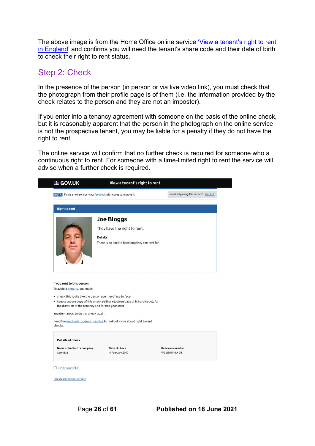The above image is from the Home Office online service 'View a tenant's right to rent [in England'](http://www.gov.uk/view-right-to-rent) and confirms you will need the tenant's share code and their date of birth to check their right to rent status.

### <span id="page-25-0"></span>Step 2: Check

In the presence of the person (in person or via live video link), you must check that the photograph from their profile page is of them (i.e. the information provided by the check relates to the person and they are not an imposter).

If you enter into a tenancy agreement with someone on the basis of the online check, but it is reasonably apparent that the person in the photograph on the online service is not the prospective tenant, you may be liable for a penalty if they do not have the right to rent.

The online service will confirm that no further check is required for someone who a continuous right to rent. For someone with a time-limited right to rent the service will advise when a further check is required.

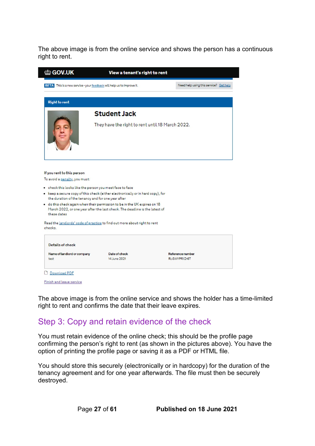The above image is from the online service and shows the person has a continuous right to rent.

| the GOV.UK                                                                                            | View a tenant's right to rent                                                                                                                                                                                  |                  |                                        |
|-------------------------------------------------------------------------------------------------------|----------------------------------------------------------------------------------------------------------------------------------------------------------------------------------------------------------------|------------------|----------------------------------------|
|                                                                                                       | BETA This is a new service - your feedback will help us to improve it.                                                                                                                                         |                  | Need help using this service? Get help |
| <b>Right to rent</b>                                                                                  |                                                                                                                                                                                                                |                  |                                        |
|                                                                                                       | <b>Student Jack</b>                                                                                                                                                                                            |                  |                                        |
|                                                                                                       | They have the right to rent until 18 March 2022.                                                                                                                                                               |                  |                                        |
|                                                                                                       |                                                                                                                                                                                                                |                  |                                        |
|                                                                                                       |                                                                                                                                                                                                                |                  |                                        |
|                                                                                                       | . check this looks like the person you meet face to face                                                                                                                                                       |                  |                                        |
|                                                                                                       | • keep a secure copy of this check (either electronically or in hard copy), for                                                                                                                                |                  |                                        |
| these dates                                                                                           | the duration of the tenancy and for one year after<br>. do this check again when their permission to be in the UK expires on 18<br>March 2022, or one year after the last check. The deadline is the latest of |                  |                                        |
|                                                                                                       | Read the landlords' code of practice to find out more about right to rent                                                                                                                                      |                  |                                        |
| Details of check                                                                                      |                                                                                                                                                                                                                |                  |                                        |
| If you rent to this person<br>To avoid a penalty, you must:<br>checks.<br>Name of landlord or company | Date of check                                                                                                                                                                                                  | Reference number |                                        |

Finish and leave service

The above image is from the online service and shows the holder has a time-limited right to rent and confirms the date that their leave expires.

### <span id="page-26-0"></span>Step 3: Copy and retain evidence of the check

You must retain evidence of the online check; this should be the profile page confirming the person's right to rent (as shown in the pictures above). You have the option of printing the profile page or saving it as a PDF or HTML file.

You should store this securely (electronically or in hardcopy) for the duration of the tenancy agreement and for one year afterwards. The file must then be securely destroyed.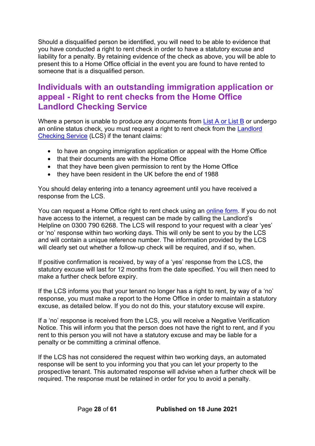Should a disqualified person be identified, you will need to be able to evidence that you have conducted a right to rent check in order to have a statutory excuse and liability for a penalty. By retaining evidence of the check as above, you will be able to present this to a Home Office official in the event you are found to have rented to someone that is a disqualified person.

## <span id="page-27-0"></span>**Individuals with an outstanding immigration application or appeal - Right to rent checks from the Home Office Landlord Checking Service**

Where a person is unable to produce any documents from [List A or List B](#page-38-1) or undergo an online status check, you must request a right to rent check from the [Landlord](https://eforms.homeoffice.gov.uk/outreach/lcs-application.ofml)  [Checking Service](https://eforms.homeoffice.gov.uk/outreach/lcs-application.ofml) (LCS) if the tenant claims:

- to have an ongoing immigration application or appeal with the Home Office
- that their documents are with the Home Office
- that they have been given permission to rent by the Home Office
- they have been resident in the UK before the end of 1988

You should delay entering into a tenancy agreement until you have received a response from the LCS.

You can request a Home Office right to rent check using an [online form.](https://eforms.homeoffice.gov.uk/outreach/lcs-application.ofml) If you do not have access to the internet, a request can be made by calling the Landlord's Helpline on 0300 790 6268. The LCS will respond to your request with a clear 'yes' or 'no' response within two working days. This will only be sent to you by the LCS and will contain a unique reference number. The information provided by the LCS will clearly set out whether a follow-up check will be required, and if so, when.

If positive confirmation is received, by way of a 'yes' response from the LCS, the statutory excuse will last for 12 months from the date specified. You will then need to make a further check before expiry.

If the LCS informs you that your tenant no longer has a right to rent, by way of a 'no' response, you must make a report to the Home Office in order to maintain a statutory excuse, as detailed below. If you do not do this, your statutory excuse will expire.

If a 'no' response is received from the LCS, you will receive a Negative Verification Notice. This will inform you that the person does not have the right to rent, and if you rent to this person you will not have a statutory excuse and may be liable for a penalty or be committing a criminal offence.

If the LCS has not considered the request within two working days, an automated response will be sent to you informing you that you can let your property to the prospective tenant. This automated response will advise when a further check will be required. The response must be retained in order for you to avoid a penalty.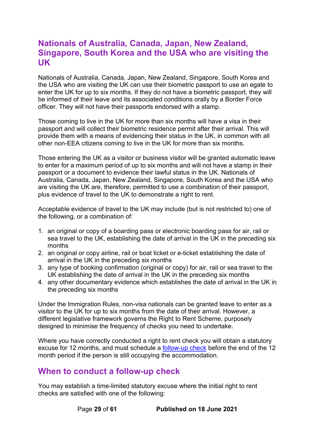### <span id="page-28-0"></span>**Nationals of Australia, Canada, Japan, New Zealand, Singapore, South Korea and the USA who are visiting the UK**

Nationals of Australia, Canada, Japan, New Zealand, Singapore, South Korea and the USA who are visiting the UK can use their biometric passport to use an egate to enter the UK for up to six months. If they do not have a biometric passport, they will be informed of their leave and its associated conditions orally by a Border Force officer. They will not have their passports endorsed with a stamp.

Those coming to live in the UK for more than six months will have a visa in their passport and will collect their biometric residence permit after their arrival. This will provide them with a means of evidencing their status in the UK, in common with all other non-EEA citizens coming to live in the UK for more than six months.

Those entering the UK as a visitor or business visitor will be granted automatic leave to enter for a maximum period of up to six months and will not have a stamp in their passport or a document to evidence their lawful status in the UK. Nationals of Australia, Canada, Japan, New Zealand, Singapore, South Korea and the USA who are visiting the UK are, therefore, permitted to use a combination of their passport, plus evidence of travel to the UK to demonstrate a right to rent.

Acceptable evidence of travel to the UK may include (but is not restricted to) one of the following, or a combination of:

- 1. an original or copy of a boarding pass or electronic boarding pass for air, rail or sea travel to the UK, establishing the date of arrival in the UK in the preceding six months
- 2. an original or copy airline, rail or boat ticket or e-ticket establishing the date of arrival in the UK in the preceding six months
- 3. any type of booking confirmation (original or copy) for air, rail or sea travel to the UK establishing the date of arrival in the UK in the preceding six months
- 4. any other documentary evidence which establishes the date of arrival in the UK in the preceding six months

Under the Immigration Rules, non-visa nationals can be granted leave to enter as a visitor to the UK for up to six months from the date of their arrival. However, a different legislative framework governs the Right to Rent Scheme, purposely designed to minimise the frequency of checks you need to undertake.

Where you have correctly conducted a right to rent check you will obtain a statutory excuse for 12 months, and must schedule a [follow-up check](#page-28-1) before the end of the 12 month period if the person is still occupying the accommodation.

### <span id="page-28-1"></span>**When to conduct a follow-up check**

You may establish a time-limited statutory excuse where the initial right to rent checks are satisfied with one of the following:

Page **29** of **61 Published on 18 June 2021**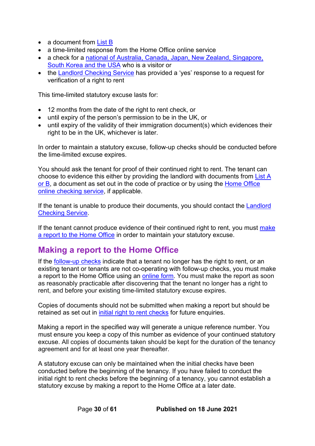- a document from [List B](#page-41-0)
- a time-limited response from the Home Office online service
- a check for a [national of Australia, Canada, Japan, New Zealand, Singapore,](#page-28-0)  [South Korea and the USA](#page-28-0) who is a visitor or
- the [Landlord Checking Service](https://eforms.homeoffice.gov.uk/outreach/lcs-application.ofml) has provided a 'yes' response to a request for verification of a right to rent

This time-limited statutory excuse lasts for:

- 12 months from the date of the right to rent check, or
- until expiry of the person's permission to be in the UK, or
- until expiry of the validity of their immigration document(s) which evidences their right to be in the UK, whichever is later.

In order to maintain a statutory excuse, follow-up checks should be conducted before the lime-limited excuse expires.

You should ask the tenant for proof of their continued right to rent. The tenant can choose to evidence this either by providing the landlord with documents from [List A](#page-38-1)  [or B,](#page-38-1) a document as set out in the code of practice or by using the [Home Office](#page-22-1)  [online checking service,](#page-22-1) if applicable.

If the tenant is unable to produce their documents, you should contact the [Landlord](https://eforms.homeoffice.gov.uk/outreach/lcs-application.ofml) [Checking Service.](https://eforms.homeoffice.gov.uk/outreach/lcs-application.ofml)

If the tenant cannot produce evidence of their continued right to rent, you must make [a report to the Home Office](#page-29-0) in order to maintain your statutory excuse.

### <span id="page-29-0"></span>**Making a report to the Home Office**

If the [follow-up checks](#page-28-1) indicate that a tenant no longer has the right to rent, or an existing tenant or tenants are not co-operating with follow-up checks, you must make a report to the Home Office using an [online form.](https://eforms.homeoffice.gov.uk/outreach/lcs-reporting.ofml) You must make the report as soon as reasonably practicable after discovering that the tenant no longer has a right to rent, and before your existing time-limited statutory excuse expires.

Copies of documents should not be submitted when making a report but should be retained as set out in [initial right to rent checks](#page-19-1) for future enquiries.

Making a report in the specified way will generate a unique reference number. You must ensure you keep a copy of this number as evidence of your continued statutory excuse. All copies of documents taken should be kept for the duration of the tenancy agreement and for at least one year thereafter.

A statutory excuse can only be maintained when the initial checks have been conducted before the beginning of the tenancy. If you have failed to conduct the initial right to rent checks before the beginning of a tenancy, you cannot establish a statutory excuse by making a report to the Home Office at a later date.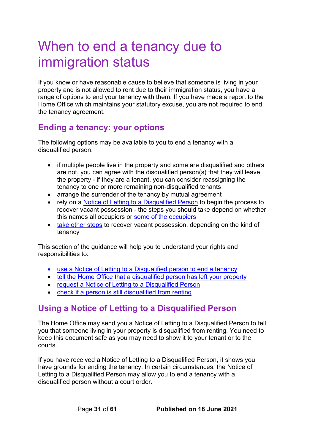# <span id="page-30-0"></span>When to end a tenancy due to immigration status

If you know or have reasonable cause to believe that someone is living in your property and is not allowed to rent due to their immigration status, you have a range of options to end your tenancy with them. If you have made a report to the Home Office which maintains your statutory excuse, you are not required to end the tenancy agreement.

## <span id="page-30-1"></span>**Ending a tenancy: your options**

The following options may be available to you to end a tenancy with a disqualified person:

- if multiple people live in the property and some are disqualified and others are not, you can agree with the disqualified person(s) that they will leave the property - if they are a tenant, you can consider reassigning the tenancy to one or more remaining non-disqualified tenants
- arrange the surrender of the tenancy by mutual agreement
- rely on a [Notice of Letting to a Disqualified Person](#page-33-0) to begin the process to recover vacant possession - the steps you should take depend on whether this names all occupiers or [some of the occupiers](#page-31-1)
- [take other steps](https://www.gov.uk/guidance/ending-a-tenancy-due-to-immigration-status#other-steps) to recover vacant possession, depending on the kind of tenancy

This section of the guidance will help you to understand your rights and responsibilities to:

- [use a Notice of Letting to a Disqualified person to end a tenancy](#page-30-2)
- [tell the Home Office that a disqualified person has left your property](#page-32-1)
- [request a Notice of Letting to a Disqualified Person](#page-33-0)
- check if a person is still disqualified from renting

## <span id="page-30-2"></span>**Using a Notice of Letting to a Disqualified Person**

The Home Office may send you a Notice of Letting to a Disqualified Person to tell you that someone living in your property is disqualified from renting. You need to keep this document safe as you may need to show it to your tenant or to the courts.

If you have received a Notice of Letting to a Disqualified Person, it shows you have grounds for ending the tenancy. In certain circumstances, the Notice of Letting to a Disqualified Person may allow you to end a tenancy with a disqualified person without a court order.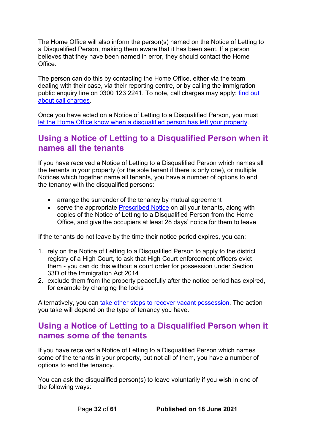The Home Office will also inform the person(s) named on the Notice of Letting to a Disqualified Person, making them aware that it has been sent. If a person believes that they have been named in error, they should contact the Home Office.

The person can do this by contacting the Home Office, either via the team dealing with their case, via their reporting centre, or by calling the immigration public enquiry line on 0300 123 2241. To note, call charges may apply: [find out](https://www.gov.uk/call-charges)  [about call charges.](https://www.gov.uk/call-charges)

Once you have acted on a Notice of Letting to a Disqualified Person, you must [let the Home Office know when a disqualified person has left your property.](#page-32-1)

### <span id="page-31-0"></span>**Using a Notice of Letting to a Disqualified Person when it names all the tenants**

If you have received a Notice of Letting to a Disqualified Person which names all the tenants in your property (or the sole tenant if there is only one), or multiple Notices which together name all tenants, you have a number of options to end the tenancy with the disqualified persons:

- arrange the surrender of the tenancy by mutual agreement
- serve the appropriate [Prescribed Notice](https://www.gov.uk/government/publications/notice-of-eviction-and-end-of-tenancy) on all your tenants, along with copies of the Notice of Letting to a Disqualified Person from the Home Office, and give the occupiers at least 28 days' notice for them to leave

If the tenants do not leave by the time their notice period expires, you can:

- 1. rely on the Notice of Letting to a Disqualified Person to apply to the district registry of a High Court, to ask that High Court enforcement officers evict them - you can do this without a court order for possession under Section 33D of the Immigration Act 2014
- 2. exclude them from the property peacefully after the notice period has expired, for example by changing the locks

Alternatively, you can [take other steps to recover vacant possession.](#page-32-0) The action you take will depend on the type of tenancy you have.

### <span id="page-31-1"></span>**Using a Notice of Letting to a Disqualified Person when it names some of the tenants**

If you have received a Notice of Letting to a Disqualified Person which names some of the tenants in your property, but not all of them, you have a number of options to end the tenancy.

You can ask the disqualified person(s) to leave voluntarily if you wish in one of the following ways:

Page **32** of **61 Published on 18 June 2021**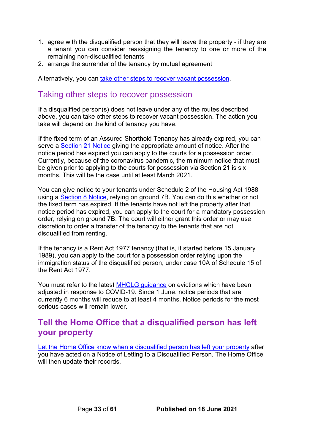- 1. agree with the disqualified person that they will leave the property if they are a tenant you can consider reassigning the tenancy to one or more of the remaining non-disqualified tenants
- 2. arrange the surrender of the tenancy by mutual agreement

Alternatively, you can [take other steps to recover vacant possession.](#page-32-0)

### <span id="page-32-0"></span>Taking other steps to recover possession

If a disqualified person(s) does not leave under any of the routes described above, you can take other steps to recover vacant possession. The action you take will depend on the kind of tenancy you have.

If the fixed term of an Assured Shorthold Tenancy has already expired, you can serve a [Section 21 Notice](https://www.gov.uk/evicting-tenants/section-21-and-section-8-notices) giving the appropriate amount of notice. After the notice period has expired you can apply to the courts for a possession order. Currently, because of the coronavirus pandemic, the minimum notice that must be given prior to applying to the courts for possession via Section 21 is six months. This will be the case until at least March 2021.

You can give notice to your tenants under Schedule 2 of the Housing Act 1988 using a [Section 8 Notice,](https://www.gov.uk/evicting-tenants/section-21-and-section-8-notices) relying on ground 7B. You can do this whether or not the fixed term has expired. If the tenants have not left the property after that notice period has expired, you can apply to the court for a mandatory possession order, relying on ground 7B. The court will either grant this order or may use discretion to order a transfer of the tenancy to the tenants that are not disqualified from renting.

If the tenancy is a Rent Act 1977 tenancy (that is, it started before 15 January 1989), you can apply to the court for a possession order relying upon the immigration status of the disqualified person, under case 10A of Schedule 15 of the Rent Act 1977.

You must refer to the latest [MHCLG guidance](https://www.gov.uk/government/publications/understanding-the-possession-action-process-guidance-for-landlords-and-tenants/understanding-the-possession-action-process-a-guide-for-private-landlords-in-england-and-wales) on evictions which have been adjusted in response to COVID-19. Since 1 June, notice periods that are currently 6 months will reduce to at least 4 months. Notice periods for the most serious cases will remain lower

### <span id="page-32-1"></span>**Tell the Home Office that a disqualified person has left your property**

[Let the Home Office know when a disqualified person has left your property](https://www.ending-a-tenancy.homeoffice.gov.uk/what) after you have acted on a Notice of Letting to a Disqualified Person. The Home Office will then update their records.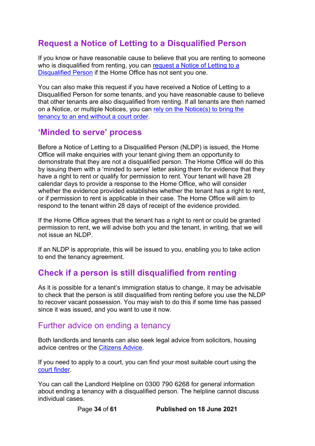## <span id="page-33-0"></span>**Request a Notice of Letting to a Disqualified Person**

If you know or have reasonable cause to believe that you are renting to someone who is disqualified from renting, you can request a Notice of Letting to a [Disqualified Person](http://www.ending-a-tenancy.homeoffice.gov.uk/) if the Home Office has not sent you one.

You can also make this request if you have received a Notice of Letting to a Disqualified Person for some tenants, and you have reasonable cause to believe that other tenants are also disqualified from renting. If all tenants are then named on a Notice, or multiple Notices, you can [rely on the Notice\(s\) to bring the](#page-30-2)  [tenancy to an end without a court order.](#page-30-2)

### <span id="page-33-1"></span>**'Minded to serve' process**

Before a Notice of Letting to a Disqualified Person (NLDP) is issued, the Home Office will make enquiries with your tenant giving them an opportunity to demonstrate that they are not a disqualified person. The Home Office will do this by issuing them with a 'minded to serve' letter asking them for evidence that they have a right to rent or qualify for permission to rent. Your tenant will have 28 calendar days to provide a response to the Home Office, who will consider whether the evidence provided establishes whether the tenant has a right to rent, or if permission to rent is applicable in their case. The Home Office will aim to respond to the tenant within 28 days of receipt of the evidence provided.

If the Home Office agrees that the tenant has a right to rent or could be granted permission to rent, we will advise both you and the tenant, in writing, that we will not issue an NLDP.

If an NLDP is appropriate, this will be issued to you, enabling you to take action to end the tenancy agreement.

## <span id="page-33-2"></span>**Check if a person is still disqualified from renting**

As it is possible for a tenant's immigration status to change, it may be advisable to check that the person is still disqualified from renting before you use the NLDP to recover vacant possession. You may wish to do this if some time has passed since it was issued, and you want to use it now.

### <span id="page-33-3"></span>Further advice on ending a tenancy

Both landlords and tenants can also seek legal advice from solicitors, housing advice centres or the [Citizens Advice.](https://www.citizensadvice.org.uk/)

If you need to apply to a court, you can find your most suitable court using the [court finder.](https://courttribunalfinder.service.gov.uk/search)

You can call the Landlord Helpline on 0300 790 6268 for general information about ending a tenancy with a disqualified person. The helpline cannot discuss individual cases.

Page **34** of **61 Published on 18 June 2021**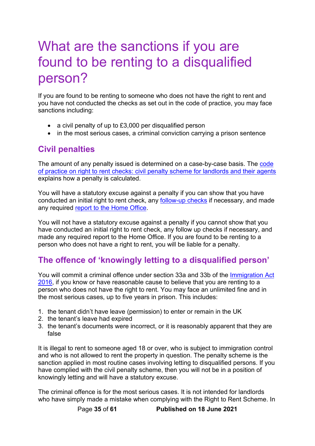# <span id="page-34-0"></span>What are the sanctions if you are found to be renting to a disqualified person?

If you are found to be renting to someone who does not have the right to rent and you have not conducted the checks as set out in the code of practice, you may face sanctions including:

- a civil penalty of up to £3,000 per disqualified person
- in the most serious cases, a criminal conviction carrying a prison sentence

## <span id="page-34-1"></span>**Civil penalties**

The amount of any penalty issued is determined on a case-by-case basis. The [code](https://www.gov.uk/government/publications/right-to-rent-landlords-code-of-practice)  [of practice on right to rent checks: civil penalty scheme for landlords and their agents](https://www.gov.uk/government/publications/right-to-rent-landlords-code-of-practice) explains how a penalty is calculated.

You will have a statutory excuse against a penalty if you can show that you have conducted an initial right to rent check, any [follow-up checks](#page-28-1) if necessary, and made any required [report to the Home Office.](#page-29-0)

You will not have a statutory excuse against a penalty if you cannot show that you have conducted an initial right to rent check, any follow up checks if necessary, and made any required report to the Home Office. If you are found to be renting to a person who does not have a right to rent, you will be liable for a penalty.

## <span id="page-34-2"></span>**The offence of 'knowingly letting to a disqualified person'**

You will commit a criminal offence under section 33a and 33b of the [Immigration Act](http://www.legislation.gov.uk/ukpga/2016/19/part/2/crossheading/residential-tenancies/enacted)  [2016,](http://www.legislation.gov.uk/ukpga/2016/19/part/2/crossheading/residential-tenancies/enacted) if you know or have reasonable cause to believe that you are renting to a person who does not have the right to rent. You may face an unlimited fine and in the most serious cases, up to five years in prison. This includes:

- 1. the tenant didn't have leave (permission) to enter or remain in the UK
- 2. the tenant's leave had expired
- 3. the tenant's documents were incorrect, or it is reasonably apparent that they are false

It is illegal to rent to someone aged 18 or over, who is subject to immigration control and who is not allowed to rent the property in question. The penalty scheme is the sanction applied in most routine cases involving letting to disqualified persons. If you have complied with the civil penalty scheme, then you will not be in a position of knowingly letting and will have a statutory excuse.

The criminal offence is for the most serious cases. It is not intended for landlords who have simply made a mistake when complying with the Right to Rent Scheme. In

Page **35** of **61 Published on 18 June 2021**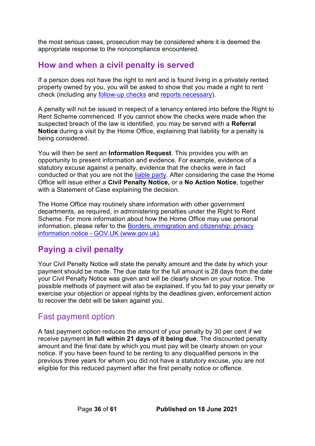the most serious cases, prosecution may be considered where it is deemed the appropriate response to the noncompliance encountered.

## <span id="page-35-0"></span>**How and when a civil penalty is served**

If a person does not have the right to rent and is found living in a privately rented property owned by you, you will be asked to show that you made a right to rent check (including any [follow-up checks](#page-28-1) and [reports necessary\)](#page-29-0).

A penalty will not be issued in respect of a tenancy entered into before the Right to Rent Scheme commenced. If you cannot show the checks were made when the suspected breach of the law is identified, you may be served with a **Referral Notice** during a visit by the Home Office, explaining that liability for a penalty is being considered.

You will then be sent an **Information Request**. This provides you with an opportunity to present information and evidence. For example, evidence of a statutory excuse against a penalty, evidence that the checks were in fact conducted or that you are not the [liable party.](#page-10-2) After considering the case the Home Office will issue either a **Civil Penalty Notice,** or a **No Action Notice**, together with a Statement of Case explaining the decision.

The Home Office may routinely share information with other government departments, as required, in administering penalties under the Right to Rent Scheme. For more information about how the Home Office may use personal information, please refer to the [Borders, immigration and citizenship: privacy](https://www.gov.uk/government/publications/personal-information-use-in-borders-immigration-and-citizenship/borders-immigration-and-citizenship-privacy-information-notice)  information notice - [GOV.UK \(www.gov.uk\).](https://www.gov.uk/government/publications/personal-information-use-in-borders-immigration-and-citizenship/borders-immigration-and-citizenship-privacy-information-notice)

## <span id="page-35-1"></span>**Paying a civil penalty**

Your Civil Penalty Notice will state the penalty amount and the date by which your payment should be made. The due date for the full amount is 28 days from the date your Civil Penalty Notice was given and will be clearly shown on your notice. The possible methods of payment will also be explained. If you fail to pay your penalty or exercise your objection or appeal rights by the deadlines given, enforcement action to recover the debt will be taken against you.

### <span id="page-35-2"></span>Fast payment option

A fast payment option reduces the amount of your penalty by 30 per cent if we receive payment **in full within 21 days of it being due**. The discounted penalty amount and the final date by which you must pay will be clearly shown on your notice. If you have been found to be renting to any disqualified persons in the previous three years for whom you did not have a statutory excuse, you are not eligible for this reduced payment after the first penalty notice or offence.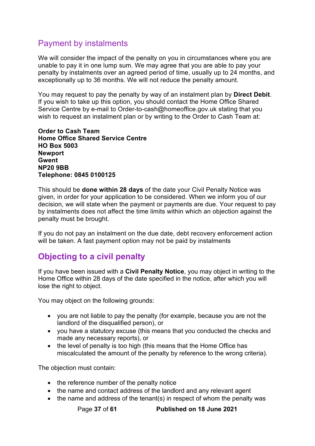## <span id="page-36-0"></span>Payment by instalments

We will consider the impact of the penalty on you in circumstances where you are unable to pay it in one lump sum. We may agree that you are able to pay your penalty by instalments over an agreed period of time, usually up to 24 months, and exceptionally up to 36 months. We will not reduce the penalty amount.

You may request to pay the penalty by way of an instalment plan by **Direct Debit**. If you wish to take up this option, you should contact the Home Office Shared Service Centre by e-mail to Order-to-cash@homeoffice.gov.uk stating that you wish to request an instalment plan or by writing to the Order to Cash Team at:

**Order to Cash Team Home Office Shared Service Centre HO Box 5003 Newport Gwent NP20 9BB Telephone: 0845 0100125** 

This should be **done within 28 days** of the date your Civil Penalty Notice was given, in order for your application to be considered. When we inform you of our decision, we will state when the payment or payments are due. Your request to pay by instalments does not affect the time limits within which an objection against the penalty must be brought.

If you do not pay an instalment on the due date, debt recovery enforcement action will be taken. A fast payment option may not be paid by instalments

## <span id="page-36-1"></span>**Objecting to a civil penalty**

If you have been issued with a **Civil Penalty Notice**, you may object in writing to the Home Office within 28 days of the date specified in the notice, after which you will lose the right to object.

You may object on the following grounds:

- you are not liable to pay the penalty (for example, because you are not the landlord of the disqualified person), or
- you have a statutory excuse (this means that you conducted the checks and made any necessary reports), or
- the level of penalty is too high (this means that the Home Office has miscalculated the amount of the penalty by reference to the wrong criteria).

The objection must contain:

- the reference number of the penalty notice
- the name and contact address of the landlord and any relevant agent
- the name and address of the tenant(s) in respect of whom the penalty was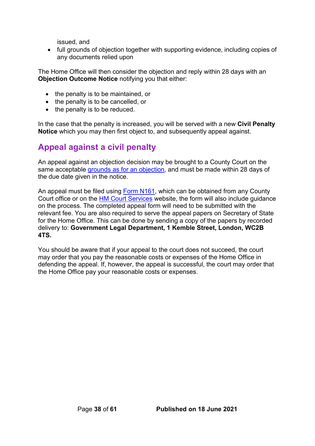issued, and

• full grounds of objection together with supporting evidence, including copies of any documents relied upon

The Home Office will then consider the objection and reply within 28 days with an **Objection Outcome Notice** notifying you that either:

- the penalty is to be maintained, or
- the penalty is to be cancelled, or
- the penalty is to be reduced.

In the case that the penalty is increased, you will be served with a new **Civil Penalty Notice** which you may then first object to, and subsequently appeal against.

## <span id="page-37-0"></span>**Appeal against a civil penalty**

An appeal against an objection decision may be brought to a County Court on the same acceptable [grounds as for an objection,](#page-36-1) and must be made within 28 days of the due date given in the notice.

An appeal must be filed using [Form N161,](https://www.gov.uk/government/publications/form-n161-appellants-notice-all-appeals-except-small-claims-track-appeals-and-appeals-to-the-family-division-of-the-high-court) which can be obtained from any County Court office or on the **HM Court Services** website, the form will also include guidance on the process. The completed appeal form will need to be submitted with the relevant fee. You are also required to serve the appeal papers on Secretary of State for the Home Office. This can be done by sending a copy of the papers by recorded delivery to: **Government Legal Department, 1 Kemble Street, London, WC2B 4TS.**

You should be aware that if your appeal to the court does not succeed, the court may order that you pay the reasonable costs or expenses of the Home Office in defending the appeal. If, however, the appeal is successful, the court may order that the Home Office pay your reasonable costs or expenses.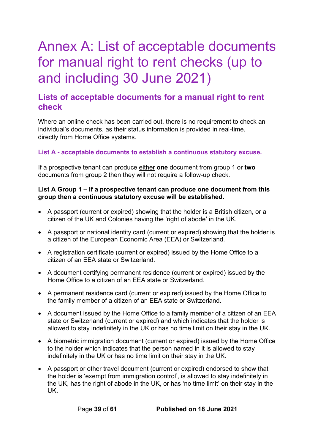# <span id="page-38-0"></span>Annex A: List of acceptable documents for manual right to rent checks (up to and including 30 June 2021)

### <span id="page-38-1"></span>**Lists of acceptable documents for a manual right to rent check**

Where an online check has been carried out, there is no requirement to check an individual's documents, as their status information is provided in real-time, directly from Home Office systems.

#### **List A - acceptable documents to establish a continuous statutory excuse.**

If a prospective tenant can produce either **one** document from group 1 or **two** documents from group 2 then they will not require a follow-up check.

#### **List A Group 1 – If a prospective tenant can produce one document from this group then a continuous statutory excuse will be established.**

- A passport (current or expired) showing that the holder is a British citizen, or a citizen of the UK and Colonies having the 'right of abode' in the UK.
- A passport or national identity card (current or expired) showing that the holder is a citizen of the European Economic Area (EEA) or Switzerland.
- A registration certificate (current or expired) issued by the Home Office to a citizen of an EEA state or Switzerland.
- A document certifying permanent residence (current or expired) issued by the Home Office to a citizen of an EEA state or Switzerland.
- A permanent residence card (current or expired) issued by the Home Office to the family member of a citizen of an EEA state or Switzerland.
- A document issued by the Home Office to a family member of a citizen of an EEA state or Switzerland (current or expired) and which indicates that the holder is allowed to stay indefinitely in the UK or has no time limit on their stay in the UK.
- A biometric immigration document (current or expired) issued by the Home Office to the holder which indicates that the person named in it is allowed to stay indefinitely in the UK or has no time limit on their stay in the UK.
- A passport or other travel document (current or expired) endorsed to show that the holder is 'exempt from immigration control', is allowed to stay indefinitely in the UK, has the right of abode in the UK, or has 'no time limit' on their stay in the UK.

Page **39** of **61 Published on 18 June 2021**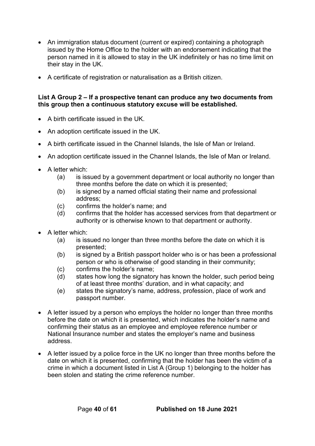- An immigration status document (current or expired) containing a photograph issued by the Home Office to the holder with an endorsement indicating that the person named in it is allowed to stay in the UK indefinitely or has no time limit on their stay in the UK.
- A certificate of registration or naturalisation as a British citizen.

#### **List A Group 2 – If a prospective tenant can produce any two documents from this group then a continuous statutory excuse will be established.**

- A birth certificate issued in the UK.
- An adoption certificate issued in the UK.
- A birth certificate issued in the Channel Islands, the Isle of Man or Ireland.
- An adoption certificate issued in the Channel Islands, the Isle of Man or Ireland.
- A letter which:
	- (a) is issued by a government department or local authority no longer than three months before the date on which it is presented;
	- (b) is signed by a named official stating their name and professional address;
	- (c) confirms the holder's name; and
	- (d) confirms that the holder has accessed services from that department or authority or is otherwise known to that department or authority.
- A letter which:
	- (a) is issued no longer than three months before the date on which it is presented;
	- (b) is signed by a British passport holder who is or has been a professional person or who is otherwise of good standing in their community;
	- (c) confirms the holder's name;
	- (d) states how long the signatory has known the holder, such period being of at least three months' duration, and in what capacity; and
	- (e) states the signatory's name, address, profession, place of work and passport number.
- A letter issued by a person who employs the holder no longer than three months before the date on which it is presented, which indicates the holder's name and confirming their status as an employee and employee reference number or National Insurance number and states the employer's name and business address.
- A letter issued by a police force in the UK no longer than three months before the date on which it is presented, confirming that the holder has been the victim of a crime in which a document listed in List A (Group 1) belonging to the holder has been stolen and stating the crime reference number.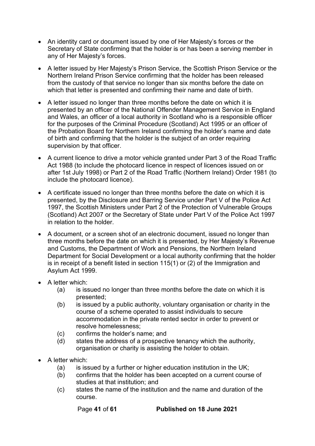- An identity card or document issued by one of Her Majesty's forces or the Secretary of State confirming that the holder is or has been a serving member in any of Her Majesty's forces.
- A letter issued by Her Majesty's Prison Service, the Scottish Prison Service or the Northern Ireland Prison Service confirming that the holder has been released from the custody of that service no longer than six months before the date on which that letter is presented and confirming their name and date of birth.
- A letter issued no longer than three months before the date on which it is presented by an officer of the National Offender Management Service in England and Wales, an officer of a local authority in Scotland who is a responsible officer for the purposes of the Criminal Procedure (Scotland) Act 1995 or an officer of the Probation Board for Northern Ireland confirming the holder's name and date of birth and confirming that the holder is the subject of an order requiring supervision by that officer.
- A current licence to drive a motor vehicle granted under Part 3 of the Road Traffic Act 1988 (to include the photocard licence in respect of licences issued on or after 1st July 1998) or Part 2 of the Road Traffic (Northern Ireland) Order 1981 (to include the photocard licence).
- A certificate issued no longer than three months before the date on which it is presented, by the Disclosure and Barring Service under Part V of the Police Act 1997, the Scottish Ministers under Part 2 of the Protection of Vulnerable Groups (Scotland) Act 2007 or the Secretary of State under Part V of the Police Act 1997 in relation to the holder.
- A document, or a screen shot of an electronic document, issued no longer than three months before the date on which it is presented, by Her Majesty's Revenue and Customs, the Department of Work and Pensions, the Northern Ireland Department for Social Development or a local authority confirming that the holder is in receipt of a benefit listed in section 115(1) or (2) of the Immigration and Asylum Act 1999.
- A letter which:
	- (a) is issued no longer than three months before the date on which it is presented;
	- (b) is issued by a public authority, voluntary organisation or charity in the course of a scheme operated to assist individuals to secure accommodation in the private rented sector in order to prevent or resolve homelessness;
	- (c) confirms the holder's name; and
	- (d) states the address of a prospective tenancy which the authority, organisation or charity is assisting the holder to obtain.
- A letter which:
	- (a) is issued by a further or higher education institution in the UK;
	- (b) confirms that the holder has been accepted on a current course of studies at that institution; and
	- (c) states the name of the institution and the name and duration of the course.

Page **41** of **61 Published on 18 June 2021**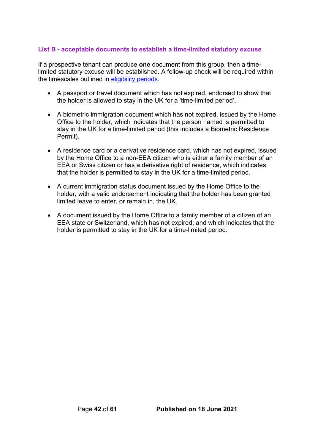#### <span id="page-41-0"></span>**List B - acceptable documents to establish a time-limited statutory excuse**

If a prospective tenant can produce **one** document from this group, then a timelimited statutory excuse will be established. A follow-up check will be required within the timescales outlined in [eligibility periods.](#page-22-0)

- A passport or travel document which has not expired, endorsed to show that the holder is allowed to stay in the UK for a 'time-limited period'.
- A biometric immigration document which has not expired, issued by the Home Office to the holder, which indicates that the person named is permitted to stay in the UK for a time-limited period (this includes a Biometric Residence Permit).
- A residence card or a derivative residence card, which has not expired, issued by the Home Office to a non-EEA citizen who is either a family member of an EEA or Swiss citizen or has a derivative right of residence, which indicates that the holder is permitted to stay in the UK for a time-limited period.
- A current immigration status document issued by the Home Office to the holder, with a valid endorsement indicating that the holder has been granted limited leave to enter, or remain in, the UK.
- A document issued by the Home Office to a family member of a citizen of an EEA state or Switzerland, which has not expired, and which indicates that the holder is permitted to stay in the UK for a time-limited period.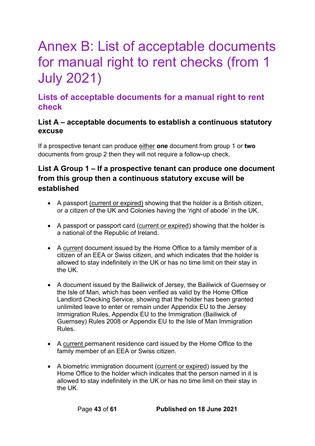# <span id="page-42-0"></span>Annex B: List of acceptable documents for manual right to rent checks (from 1 July 2021)

## <span id="page-42-1"></span>**Lists of acceptable documents for a manual right to rent check**

### **List A – acceptable documents to establish a continuous statutory excuse**

If a prospective tenant can produce either **one** document from group 1 or **two** documents from group 2 then they will not require a follow-up check.

### **List A Group 1 – If a prospective tenant can produce one document from this group then a continuous statutory excuse will be established**

- A passport (current or expired) showing that the holder is a British citizen, or a citizen of the UK and Colonies having the 'right of abode' in the UK.
- A passport or passport card (current or expired) showing that the holder is a national of the Republic of Ireland.
- A current document issued by the Home Office to a family member of a citizen of an EEA or Swiss citizen, and which indicates that the holder is allowed to stay indefinitely in the UK or has no time limit on their stay in the UK.
- A document issued by the Bailiwick of Jersey, the Bailiwick of Guernsey or the Isle of Man, which has been verified as valid by the Home Office Landlord Checking Service, showing that the holder has been granted unlimited leave to enter or remain under Appendix EU to the Jersey Immigration Rules, Appendix EU to the Immigration (Bailiwick of Guernsey) Rules 2008 or Appendix EU to the Isle of Man Immigration Rules.
- A current permanent residence card issued by the Home Office to the family member of an EEA or Swiss citizen.
- A biometric immigration document (current or expired) issued by the Home Office to the holder which indicates that the person named in it is allowed to stay indefinitely in the UK or has no time limit on their stay in the UK.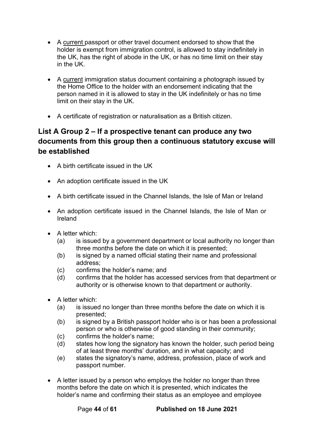- A current passport or other travel document endorsed to show that the holder is exempt from immigration control, is allowed to stay indefinitely in the UK, has the right of abode in the UK, or has no time limit on their stay in the UK.
- A current immigration status document containing a photograph issued by the Home Office to the holder with an endorsement indicating that the person named in it is allowed to stay in the UK indefinitely or has no time limit on their stay in the UK.
- A certificate of registration or naturalisation as a British citizen.

### <span id="page-43-0"></span>**List A Group 2 – If a prospective tenant can produce any two documents from this group then a continuous statutory excuse will be established**

- A birth certificate issued in the UK
- An adoption certificate issued in the UK
- A birth certificate issued in the Channel Islands, the Isle of Man or Ireland
- An adoption certificate issued in the Channel Islands, the Isle of Man or Ireland
- A letter which:
	- (a) is issued by a government department or local authority no longer than three months before the date on which it is presented;
	- (b) is signed by a named official stating their name and professional address;
	- (c) confirms the holder's name; and
	- (d) confirms that the holder has accessed services from that department or authority or is otherwise known to that department or authority.
- A letter which:
	- (a) is issued no longer than three months before the date on which it is presented;
	- (b) is signed by a British passport holder who is or has been a professional person or who is otherwise of good standing in their community;
	- (c) confirms the holder's name;
	- (d) states how long the signatory has known the holder, such period being of at least three months' duration, and in what capacity; and
	- (e) states the signatory's name, address, profession, place of work and passport number.
- A letter issued by a person who employs the holder no longer than three months before the date on which it is presented, which indicates the holder's name and confirming their status as an employee and employee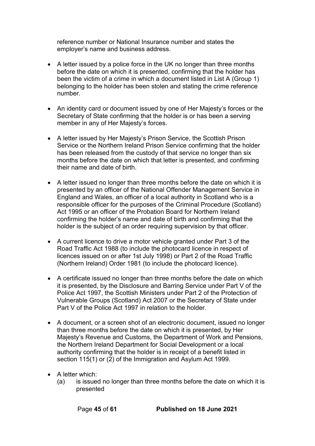reference number or National Insurance number and states the employer's name and business address.

- A letter issued by a police force in the UK no longer than three months before the date on which it is presented, confirming that the holder has been the victim of a crime in which a document listed in List A (Group 1) belonging to the holder has been stolen and stating the crime reference number.
- An identity card or document issued by one of Her Majesty's forces or the Secretary of State confirming that the holder is or has been a serving member in any of Her Majesty's forces.
- A letter issued by Her Majesty's Prison Service, the Scottish Prison Service or the Northern Ireland Prison Service confirming that the holder has been released from the custody of that service no longer than six months before the date on which that letter is presented, and confirming their name and date of birth.
- A letter issued no longer than three months before the date on which it is presented by an officer of the National Offender Management Service in England and Wales, an officer of a local authority in Scotland who is a responsible officer for the purposes of the Criminal Procedure (Scotland) Act 1995 or an officer of the Probation Board for Northern Ireland confirming the holder's name and date of birth and confirming that the holder is the subject of an order requiring supervision by that officer.
- A current licence to drive a motor vehicle granted under Part 3 of the Road Traffic Act 1988 (to include the photocard licence in respect of licences issued on or after 1st July 1998) or Part 2 of the Road Traffic (Northern Ireland) Order 1981 (to include the photocard licence).
- A certificate issued no longer than three months before the date on which it is presented, by the Disclosure and Barring Service under Part V of the Police Act 1997, the Scottish Ministers under Part 2 of the Protection of Vulnerable Groups (Scotland) Act 2007 or the Secretary of State under Part V of the Police Act 1997 in relation to the holder.
- A document, or a screen shot of an electronic document, issued no longer than three months before the date on which it is presented, by Her Majesty's Revenue and Customs, the Department of Work and Pensions, the Northern Ireland Department for Social Development or a local authority confirming that the holder is in receipt of a benefit listed in section 115(1) or (2) of the Immigration and Asylum Act 1999.
- A letter which:
	- (a) is issued no longer than three months before the date on which it is presented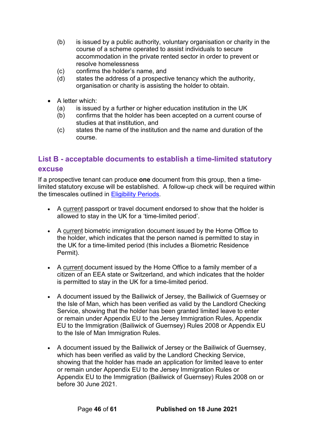- (b) is issued by a public authority, voluntary organisation or charity in the course of a scheme operated to assist individuals to secure accommodation in the private rented sector in order to prevent or resolve homelessness
- (c) confirms the holder's name, and
- (d) states the address of a prospective tenancy which the authority, organisation or charity is assisting the holder to obtain.
- A letter which:
	- (a) is issued by a further or higher education institution in the UK
	- (b) confirms that the holder has been accepted on a current course of studies at that institution, and
	- (c) states the name of the institution and the name and duration of the course.

### <span id="page-45-0"></span>**List B - acceptable documents to establish a time-limited statutory excuse**

If a prospective tenant can produce **one** document from this group, then a timelimited statutory excuse will be established. A follow-up check will be required within the timescales outlined in Eligibility Periods.

- A current passport or travel document endorsed to show that the holder is allowed to stay in the UK for a 'time-limited period'.
- A current biometric immigration document issued by the Home Office to the holder, which indicates that the person named is permitted to stay in the UK for a time-limited period (this includes a Biometric Residence Permit).
- A current document issued by the Home Office to a family member of a citizen of an EEA state or Switzerland, and which indicates that the holder is permitted to stay in the UK for a time-limited period.
- A document issued by the Bailiwick of Jersey, the Bailiwick of Guernsey or the Isle of Man, which has been verified as valid by the Landlord Checking Service, showing that the holder has been granted limited leave to enter or remain under Appendix EU to the Jersey Immigration Rules, Appendix EU to the Immigration (Bailiwick of Guernsey) Rules 2008 or Appendix EU to the Isle of Man Immigration Rules.
- A document issued by the Bailiwick of Jersey or the Bailiwick of Guernsey, which has been verified as valid by the Landlord Checking Service, showing that the holder has made an application for limited leave to enter or remain under Appendix EU to the Jersey Immigration Rules or Appendix EU to the Immigration (Bailiwick of Guernsey) Rules 2008 on or before 30 June 2021.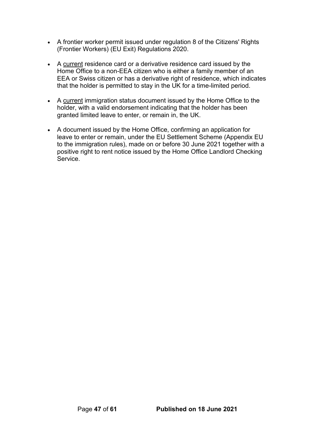- A frontier worker permit issued under regulation 8 of the Citizens' Rights (Frontier Workers) (EU Exit) Regulations 2020.
- A current residence card or a derivative residence card issued by the Home Office to a non-EEA citizen who is either a family member of an EEA or Swiss citizen or has a derivative right of residence, which indicates that the holder is permitted to stay in the UK for a time-limited period.
- A current immigration status document issued by the Home Office to the holder, with a valid endorsement indicating that the holder has been granted limited leave to enter, or remain in, the UK.
- A document issued by the Home Office, confirming an application for leave to enter or remain, under the EU Settlement Scheme (Appendix EU to the immigration rules), made on or before 30 June 2021 together with a positive right to rent notice issued by the Home Office Landlord Checking **Service**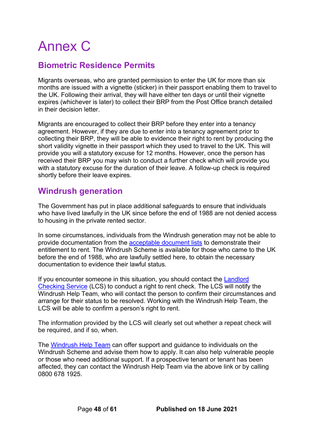# <span id="page-47-0"></span>Annex C

## <span id="page-47-1"></span>**Biometric Residence Permits**

Migrants overseas, who are granted permission to enter the UK for more than six months are issued with a vignette (sticker) in their passport enabling them to travel to the UK. Following their arrival, they will have either ten days or until their vignette expires (whichever is later) to collect their BRP from the Post Office branch detailed in their decision letter.

Migrants are encouraged to collect their BRP before they enter into a tenancy agreement. However, if they are due to enter into a tenancy agreement prior to collecting their BRP, they will be able to evidence their right to rent by producing the short validity vignette in their passport which they used to travel to the UK. This will provide you will a statutory excuse for 12 months. However, once the person has received their BRP you may wish to conduct a further check which will provide you with a statutory excuse for the duration of their leave. A follow-up check is required shortly before their leave expires.

### <span id="page-47-2"></span>**Windrush generation**

The Government has put in place additional safeguards to ensure that individuals who have lived lawfully in the UK since before the end of 1988 are not denied access to housing in the private rented sector.

In some circumstances, individuals from the Windrush generation may not be able to provide documentation from the [acceptable document lists](#page-21-1) to demonstrate their entitlement to rent. The Windrush Scheme is available for those who came to the UK before the end of 1988, who are lawfully settled here, to obtain the necessary documentation to evidence their lawful status.

If you encounter someone in this situation, you should contact the [Landlord](https://eforms.homeoffice.gov.uk/outreach/lcs-application.ofml)  [Checking Service](https://eforms.homeoffice.gov.uk/outreach/lcs-application.ofml) (LCS) to conduct a right to rent check. The LCS will notify the Windrush Help Team, who will contact the person to confirm their circumstances and arrange for their status to be resolved. Working with the Windrush Help Team, the LCS will be able to confirm a person's right to rent.

The information provided by the LCS will clearly set out whether a repeat check will be required, and if so, when.

The [Windrush Help Team](https://windrush.campaign.gov.uk/?utm_campaignwindrush&utm_mediumsearch&utm_sourcebing) can offer support and guidance to individuals on the Windrush Scheme and advise them how to apply. It can also help vulnerable people or those who need additional support. If a prospective tenant or tenant has been affected, they can contact the Windrush Help Team via the above link or by calling 0800 678 1925.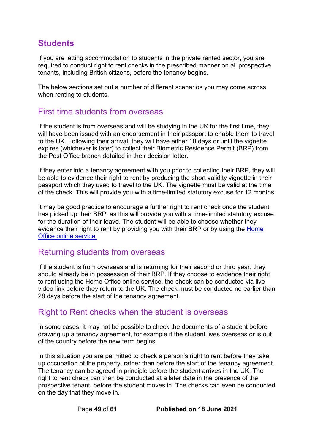## <span id="page-48-0"></span>**Students**

If you are letting accommodation to students in the private rented sector, you are required to conduct right to rent checks in the prescribed manner on all prospective tenants, including British citizens, before the tenancy begins.

The below sections set out a number of different scenarios you may come across when renting to students.

### <span id="page-48-1"></span>First time students from overseas

If the student is from overseas and will be studying in the UK for the first time, they will have been issued with an endorsement in their passport to enable them to travel to the UK. Following their arrival, they will have either 10 days or until the vignette expires (whichever is later) to collect their Biometric Residence Permit (BRP) from the Post Office branch detailed in their decision letter.

If they enter into a tenancy agreement with you prior to collecting their BRP, they will be able to evidence their right to rent by producing the short validity vignette in their passport which they used to travel to the UK. The vignette must be valid at the time of the check. This will provide you with a time-limited statutory excuse for 12 months.

It may be good practice to encourage a further right to rent check once the student has picked up their BRP, as this will provide you with a time-limited statutory excuse for the duration of their leave. The student will be able to choose whether they evidence their right to rent by providing you with their BRP or by using the Home [Office online service.](bookmark://_Conducting_an_online_1/)

### <span id="page-48-2"></span>Returning students from overseas

If the student is from overseas and is returning for their second or third year, they should already be in possession of their BRP. If they choose to evidence their right to rent using the Home Office online service, the check can be conducted via live video link before they return to the UK. The check must be conducted no earlier than 28 days before the start of the tenancy agreement.

### <span id="page-48-3"></span>Right to Rent checks when the student is overseas

In some cases, it may not be possible to check the documents of a student before drawing up a tenancy agreement, for example if the student lives overseas or is out of the country before the new term begins.

In this situation you are permitted to check a person's right to rent before they take up occupation of the property, rather than before the start of the tenancy agreement. The tenancy can be agreed in principle before the student arrives in the UK. The right to rent check can then be conducted at a later date in the presence of the prospective tenant, before the student moves in. The checks can even be conducted on the day that they move in.

Page **49** of **61 Published on 18 June 2021**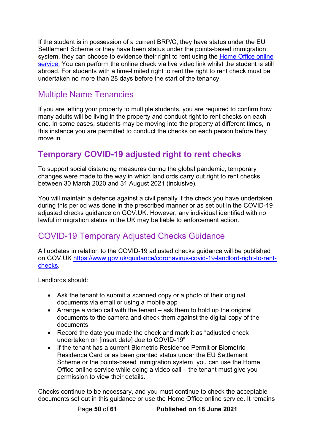If the student is in possession of a current BRP/C, they have status under the EU Settlement Scheme or they have been status under the points-based immigration system, they can choose to evidence their right to rent using the Home Office online [service.](#page-22-1) You can perform the online check via live video link whilst the student is still abroad. For students with a time-limited right to rent the right to rent check must be undertaken no more than 28 days before the start of the tenancy.

## <span id="page-49-0"></span>Multiple Name Tenancies

If you are letting your property to multiple students, you are required to confirm how many adults will be living in the property and conduct right to rent checks on each one. In some cases, students may be moving into the property at different times, in this instance you are permitted to conduct the checks on each person before they move in.

## <span id="page-49-1"></span>**Temporary COVID-19 adjusted right to rent checks**

To support social distancing measures during the global pandemic, temporary changes were made to the way in which landlords carry out right to rent checks between 30 March 2020 and 31 August 2021 (inclusive).

You will maintain a defence against a civil penalty if the check you have undertaken during this period was done in the prescribed manner or as set out in the COVID-19 adjusted checks guidance on GOV.UK. However, any individual identified with no lawful immigration status in the UK may be liable to enforcement action.

## <span id="page-49-2"></span>COVID-19 Temporary Adjusted Checks Guidance

All updates in relation to the COVID-19 adjusted checks guidance will be published on GOV.UK [https://www.gov.uk/guidance/coronavirus-covid-19-landlord-right-to-rent](https://www.gov.uk/guidance/coronavirus-covid-19-landlord-right-to-rent-checks)[checks.](https://www.gov.uk/guidance/coronavirus-covid-19-landlord-right-to-rent-checks)

Landlords should:

- Ask the tenant to submit a scanned copy or a photo of their original documents via email or using a mobile app
- Arrange a video call with the tenant ask them to hold up the original documents to the camera and check them against the digital copy of the documents
- Record the date you made the check and mark it as "adjusted check undertaken on [insert date] due to COVID-19"
- If the tenant has a current Biometric Residence Permit or Biometric Residence Card or as been granted status under the EU Settlement Scheme or the points-based immigration system, you can use the Home Office online service while doing a video call – the tenant must give you permission to view their details.

Checks continue to be necessary, and you must continue to check the acceptable documents set out in this guidance or use the Home Office online service. It remains

Page **50** of **61 Published on 18 June 2021**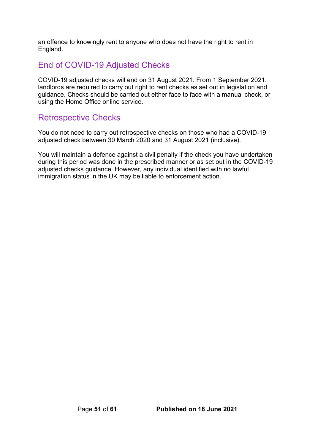an offence to knowingly rent to anyone who does not have the right to rent in England.

## <span id="page-50-0"></span>End of COVID-19 Adjusted Checks

COVID-19 adjusted checks will end on 31 August 2021. From 1 September 2021, landlords are required to carry out right to rent checks as set out in legislation and guidance. Checks should be carried out either face to face with a manual check, or using the Home Office online service.

## <span id="page-50-1"></span>Retrospective Checks

You do not need to carry out retrospective checks on those who had a COVID-19 adjusted check between 30 March 2020 and 31 August 2021 (inclusive).

You will maintain a defence against a civil penalty if the check you have undertaken during this period was done in the prescribed manner or as set out in the COVID-19 adjusted checks guidance. However, any individual identified with no lawful immigration status in the UK may be liable to enforcement action.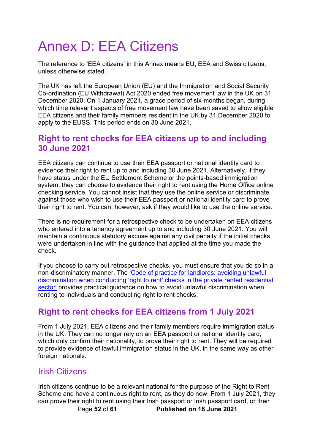# <span id="page-51-0"></span>Annex D: EEA Citizens

The reference to 'EEA citizens' in this Annex means EU, EEA and Swiss citizens, unless otherwise stated.

The UK has left the European Union (EU) and the Immigration and Social Security Co-ordination (EU Withdrawal) Act 2020 ended free movement law in the UK on 31 December 2020. On 1 January 2021, a grace period of six-months began, during which time relevant aspects of free movement law have been saved to allow eligible EEA citizens and their family members resident in the UK by 31 December 2020 to apply to the EUSS. This period ends on 30 June 2021.

### <span id="page-51-1"></span>**Right to rent checks for EEA citizens up to and including 30 June 2021**

EEA citizens can continue to use their EEA passport or national identity card to evidence their right to rent up to and including 30 June 2021. Alternatively, if they have status under the EU Settlement Scheme or the points-based immigration system, they can choose to evidence their right to rent using the [Home Office online](https://www.gov.uk/view-right-to-rent)  checking service. You cannot insist that they use the online service or discriminate against those who wish to use their EEA passport or national identity card to prove their right to rent. You can, however, ask if they would like to use the online service.

There is no requirement for a retrospective check to be undertaken on EEA citizens who entered into a tenancy agreement up to and including 30 June 2021. You will maintain a continuous statutory excuse against any civil penalty if the initial checks were undertaken in line with the guidance that applied at the time you made the check.

If you choose to carry out retrospective checks, you must ensure that you do so in a non-discriminatory manner. The ['Code of practice for landlords: avoiding unlawful](https://www.gov.uk/government/publications/right-to-rent-landlords-code-of-practice)  discrimination when conducting 'right to rent' checks in the private rented residential [sector'](https://www.gov.uk/government/publications/right-to-rent-landlords-code-of-practice) provides practical guidance on how to avoid unlawful discrimination when renting to individuals and conducting right to rent checks.

## <span id="page-51-2"></span>**Right to rent checks for EEA citizens from 1 July 2021**

From 1 July 2021, EEA citizens and their family members require immigration status in the UK. They can no longer rely on an EEA passport or national identity card, which only confirm their nationality, to prove their right to rent. They will be required to provide evidence of lawful immigration status in the UK, in the same way as other foreign nationals.

### <span id="page-51-3"></span>Irish Citizens

Page **52** of **61 Published on 18 June 2021** Irish citizens continue to be a relevant national for the purpose of the Right to Rent Scheme and have a continuous right to rent, as they do now. From 1 July 2021, they can prove their right to rent using their Irish passport or Irish passport card, or their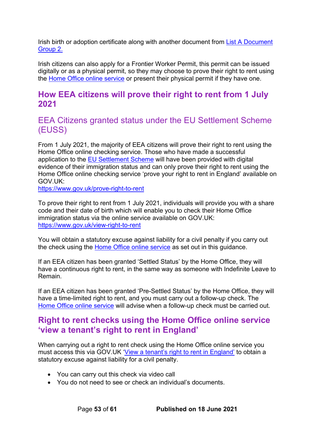Irish birth or adoption certificate along with another document from List A Document [Group 2.](#page-43-0)

Irish citizens can also apply for a Frontier Worker Permit, this permit can be issued digitally or as a physical permit, so they may choose to prove their right to rent using the [Home Office online service](https://www.gov.uk/view-right-to-rent) or present their physical permit if they have one.

### <span id="page-52-0"></span>**How EEA citizens will prove their right to rent from 1 July 2021**

<span id="page-52-1"></span>EEA Citizens granted status under the EU Settlement Scheme (EUSS)

From 1 July 2021, the majority of EEA citizens will prove their right to rent using the Home Office online checking service. Those who have made a successful application to the [EU Settlement Scheme](https://www.gov.uk/settled-status-eu-citizens-families) will have been provided with digital evidence of their immigration status and can only prove their right to rent using the Home Office online checking service 'prove your right to rent in England' available on GOV.UK:

<https://www.gov.uk/prove-right-to-rent>

To prove their right to rent from 1 July 2021, individuals will provide you with a share code and their date of birth which will enable you to check their Home Office immigration status via the online service available on GOV.UK: <https://www.gov.uk/view-right-to-rent>

You will obtain a statutory excuse against liability for a civil penalty if you carry out the check using the [Home Office online service](https://www.gov.uk/view-right-to-rent) as set out in this guidance.

If an EEA citizen has been granted 'Settled Status' by the Home Office, they will have a continuous right to rent, in the same way as someone with Indefinite Leave to Remain.

If an EEA citizen has been granted 'Pre-Settled Status' by the Home Office, they will have a time-limited right to rent, and you must carry out a follow-up check. The Home Office [online service](https://www.gov.uk/view-right-to-rent) will advise when a follow-up check must be carried out.

### <span id="page-52-2"></span>**Right to rent checks using the Home Office online service 'view a tenant's right to rent in England'**

When carrying out a right to rent check using the Home Office online service you must access this via GOV.UK ['View a tenant's right to rent in England'](https://www.gov.uk/view-right-to-rent) to obtain a statutory excuse against liability for a civil penalty.

- You can carry out this check via video call
- You do not need to see or check an individual's documents.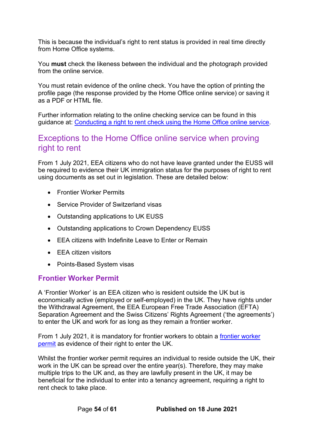This is because the individual's right to rent status is provided in real time directly from Home Office systems.

You **must** check the likeness between the individual and the photograph provided from the online service.

You must retain evidence of the online check. You have the option of printing the profile page (the response provided by the Home Office online service) or saving it as a PDF or HTML file.

Further information relating to the online checking service can be found in this guidance at: [Conducting a right to rent check using the Home Office online service.](#page-22-1)

### <span id="page-53-0"></span>Exceptions to the Home Office online service when proving right to rent

From 1 July 2021, EEA citizens who do not have leave granted under the EUSS will be required to evidence their UK immigration status for the purposes of right to rent using documents as set out in legislation. These are detailed below:

- Frontier Worker Permits
- Service Provider of Switzerland visas
- Outstanding applications to UK EUSS
- Outstanding applications to Crown Dependency EUSS
- EEA citizens with Indefinite Leave to Enter or Remain
- EEA citizen visitors
- Points-Based System visas

### <span id="page-53-1"></span>**Frontier Worker Permit**

A 'Frontier Worker' is an EEA citizen who is resident outside the UK but is economically active (employed or self-employed) in the UK. They have rights under the Withdrawal Agreement, the EEA European Free Trade Association (EFTA) Separation Agreement and the Swiss Citizens' Rights Agreement ('the agreements') to enter the UK and work for as long as they remain a frontier worker.

From 1 July 2021, it is mandatory for frontier workers to obtain a frontier worker [permit](https://www.gov.uk/frontier-worker-permit) as evidence of their right to enter the UK.

Whilst the frontier worker permit requires an individual to reside outside the UK, their work in the UK can be spread over the entire year(s). Therefore, they may make multiple trips to the UK and, as they are lawfully present in the UK, it may be beneficial for the individual to enter into a tenancy agreement, requiring a right to rent check to take place.

Page **54** of **61 Published on 18 June 2021**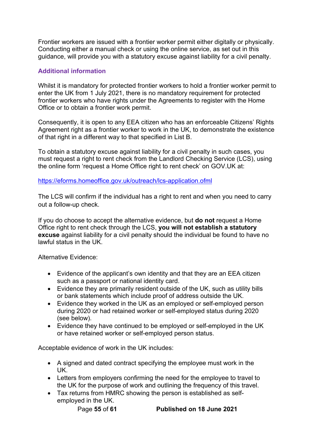Frontier workers are issued with a frontier worker permit either digitally or physically. Conducting either a manual check or using the online service, as set out in this guidance, will provide you with a statutory excuse against liability for a civil penalty.

#### **Additional information**

Whilst it is mandatory for protected frontier workers to hold a frontier worker permit to enter the UK from 1 July 2021, there is no mandatory requirement for protected frontier workers who have rights under the Agreements to register with the Home Office or to obtain a frontier work permit.

Consequently, it is open to any EEA citizen who has an enforceable Citizens' Rights Agreement right as a frontier worker to work in the UK, to demonstrate the existence of that right in a different way to that specified in List B.

To obtain a statutory excuse against liability for a civil penalty in such cases, you must request a right to rent check from the Landlord Checking Service (LCS), using the online form 'request a Home Office right to rent check' on GOV.UK at:

#### <https://eforms.homeoffice.gov.uk/outreach/lcs-application.ofml>

The LCS will confirm if the individual has a right to rent and when you need to carry out a follow-up check.

If you do choose to accept the alternative evidence, but **do not** request a Home Office right to rent check through the LCS, **you will not establish a statutory excuse** against liability for a civil penalty should the individual be found to have no lawful status in the UK.

Alternative Evidence:

- Evidence of the applicant's own identity and that they are an EEA citizen such as a passport or national identity card.
- Evidence they are primarily resident outside of the UK, such as utility bills or bank statements which include proof of address outside the UK.
- Evidence they worked in the UK as an employed or self-employed person during 2020 or had retained worker or self-employed status during 2020 (see below).
- Evidence they have continued to be employed or self-employed in the UK or have retained worker or self-employed person status.

Acceptable evidence of work in the UK includes:

- A signed and dated contract specifying the employee must work in the UK.
- Letters from employers confirming the need for the employee to travel to the UK for the purpose of work and outlining the frequency of this travel.
- Tax returns from HMRC showing the person is established as selfemployed in the UK.

Page **55** of **61 Published on 18 June 2021**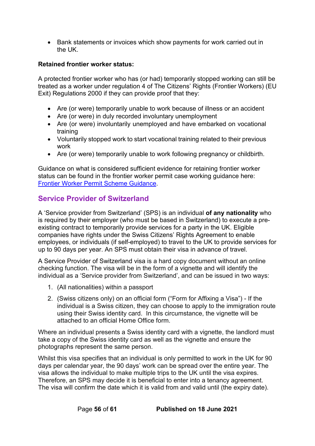• Bank statements or invoices which show payments for work carried out in the UK.

#### **Retained frontier worker status:**

A protected frontier worker who has (or had) temporarily stopped working can still be treated as a worker under regulation 4 of The Citizens' Rights (Frontier Workers) (EU Exit) Regulations 2000 if they can provide proof that they:

- Are (or were) temporarily unable to work because of illness or an accident
- Are (or were) in duly recorded involuntary unemployment
- Are (or were) involuntarily unemployed and have embarked on vocational training
- Voluntarily stopped work to start vocational training related to their previous work
- Are (or were) temporarily unable to work following pregnancy or childbirth.

Guidance on what is considered sufficient evidence for retaining frontier worker status can be found in the frontier worker permit case working guidance here: [Frontier Worker Permit Scheme Guidance.](https://www.gov.uk/government/publications/frontier-worker-permit-scheme-caseworker-guidance)

### <span id="page-55-0"></span>**Service Provider of Switzerland**

A 'Service provider from Switzerland' (SPS) is an individual **of any nationality** who is required by their employer (who must be based in Switzerland) to execute a preexisting contract to temporarily provide services for a party in the UK. Eligible companies have rights under the Swiss Citizens' Rights Agreement to enable employees, or individuals (if self-employed) to travel to the UK to provide services for up to 90 days per year. An SPS must obtain their visa in advance of travel.

A Service Provider of Switzerland visa is a hard copy document without an online checking function. The visa will be in the form of a vignette and will identify the individual as a 'Service provider from Switzerland', and can be issued in two ways:

- 1. (All nationalities) within a passport
- 2. (Swiss citizens only) on an official form ("Form for Affixing a Visa") If the individual is a Swiss citizen, they can choose to apply to the immigration route using their Swiss identity card. In this circumstance, the vignette will be attached to an official Home Office form.

Where an individual presents a Swiss identity card with a vignette, the landlord must take a copy of the Swiss identity card as well as the vignette and ensure the photographs represent the same person.

Whilst this visa specifies that an individual is only permitted to work in the UK for 90 days per calendar year, the 90 days' work can be spread over the entire year. The visa allows the individual to make multiple trips to the UK until the visa expires. Therefore, an SPS may decide it is beneficial to enter into a tenancy agreement. The visa will confirm the date which it is valid from and valid until (the expiry date).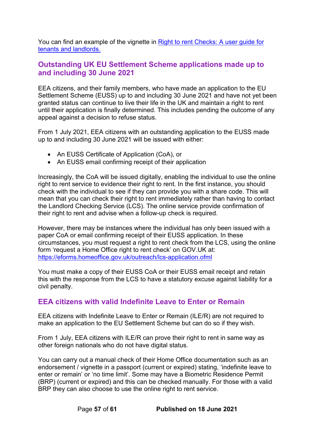You can find an example of the vignette in [Right to rent Checks: A user guide for](https://www.gov.uk/government/publications/right-to-rent-document-checks-a-user-guide)  [tenants and landlords.](https://www.gov.uk/government/publications/right-to-rent-document-checks-a-user-guide)

### <span id="page-56-0"></span>**Outstanding UK EU Settlement Scheme applications made up to and including 30 June 2021**

EEA citizens, and their family members, who have made an application to the EU Settlement Scheme (EUSS) up to and including 30 June 2021 and have not yet been granted status can continue to live their life in the UK and maintain a right to rent until their application is finally determined. This includes pending the outcome of any appeal against a decision to refuse status.

From 1 July 2021, EEA citizens with an outstanding application to the EUSS made up to and including 30 June 2021 will be issued with either:

- An EUSS Certificate of Application (CoA), or
- An EUSS email confirming receipt of their application

Increasingly, the CoA will be issued digitally, enabling the individual to use the online right to rent service to evidence their right to rent. In the first instance, you should check with the individual to see if they can provide you with a share code. This will mean that you can check their right to rent immediately rather than having to contact the Landlord Checking Service (LCS). The online service provide confirmation of their right to rent and advise when a follow-up check is required.

However, there may be instances where the individual has only been issued with a paper CoA or email confirming receipt of their EUSS application. In these circumstances, you must request a right to rent check from the LCS, using the online form 'request a Home Office right to rent check' on GOV.UK at: <https://eforms.homeoffice.gov.uk/outreach/lcs-application.ofml>

You must make a copy of their EUSS CoA or their EUSS email receipt and retain this with the response from the LCS to have a statutory excuse against liability for a civil penalty.

### <span id="page-56-1"></span>**EEA citizens with valid Indefinite Leave to Enter or Remain**

EEA citizens with Indefinite Leave to Enter or Remain (ILE/R) are not required to make an application to the EU Settlement Scheme but can do so if they wish.

From 1 July, EEA citizens with ILE/R can prove their right to rent in same way as other foreign nationals who do not have digital status.

You can carry out a manual check of their Home Office documentation such as an endorsement / vignette in a passport (current or expired) stating, 'indefinite leave to enter or remain' or 'no time limit'. Some may have a Biometric Residence Permit (BRP) (current or expired) and this can be checked manually. For those with a valid BRP they can also choose to use the online right to rent service.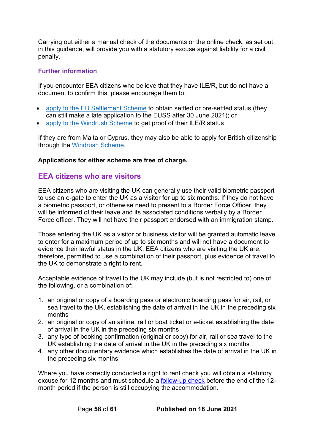Carrying out either a manual check of the documents or the online check, as set out in this guidance, will provide you with a statutory excuse against liability for a civil penalty.

#### **Further information**

If you encounter EEA citizens who believe that they have ILE/R, but do not have a document to confirm this, please encourage them to:

- apply to the EU [Settlement](https://gbr01.safelinks.protection.outlook.com/?url=https%3A%2F%2Fwww.gov.uk%2Fsettled-status-eu-citizens-families%2Fapplying-for-settled-status&data=04%7C01%7CFrances.Tomlinson1%40homeoffice.gov.uk%7C33a09a7b4a544f5d2d8808d90f13f739%7Cf24d93ecb2914192a08af182245945c2%7C0%7C0%7C637557400680347768%7CUnknown%7CTWFpbGZsb3d8eyJWIjoiMC4wLjAwMDAiLCJQIjoiV2luMzIiLCJBTiI6Ik1haWwiLCJXVCI6Mn0%3D%7C1000&sdata=wIRo9nLlELRlcDOp2qHqL%2B4xkno4IADtVt%2BefB9j1dM%3D&reserved=0) Scheme to obtain settled or pre-settled status (they can still make a late application to the EUSS after 30 June 2021); or
- apply to the [Windrush](https://gbr01.safelinks.protection.outlook.com/?url=https%3A%2F%2Fwww.gov.uk%2Fgovernment%2Fpublications%2Fundocumented-commonwealth-citizens-resident-in-the-uk&data=04%7C01%7CFrances.Tomlinson1%40homeoffice.gov.uk%7C33a09a7b4a544f5d2d8808d90f13f739%7Cf24d93ecb2914192a08af182245945c2%7C0%7C0%7C637557400680347768%7CUnknown%7CTWFpbGZsb3d8eyJWIjoiMC4wLjAwMDAiLCJQIjoiV2luMzIiLCJBTiI6Ik1haWwiLCJXVCI6Mn0%3D%7C1000&sdata=VOhb%2FWyHs5foJJgNW3jJOw322gZf8d5NPKjB4vskltw%3D&reserved=0) Scheme to get proof of their ILE/R status

If they are from Malta or Cyprus, they may also be able to apply for British citizenship through the [Windrush](https://gbr01.safelinks.protection.outlook.com/?url=https%3A%2F%2Fwww.gov.uk%2Fgovernment%2Fpublications%2Fundocumented-commonwealth-citizens-resident-in-the-uk&data=04%7C01%7CFrances.Tomlinson1%40homeoffice.gov.uk%7C33a09a7b4a544f5d2d8808d90f13f739%7Cf24d93ecb2914192a08af182245945c2%7C0%7C0%7C637557400680357723%7CUnknown%7CTWFpbGZsb3d8eyJWIjoiMC4wLjAwMDAiLCJQIjoiV2luMzIiLCJBTiI6Ik1haWwiLCJXVCI6Mn0%3D%7C1000&sdata=BUa58usG1oz7NN6wFOyH%2BR8mq9Oh9W2DtUgRZYZxmbU%3D&reserved=0) Scheme.

#### **Applications for either scheme are free of charge.**

#### <span id="page-57-0"></span>**EEA citizens who are visitors**

EEA citizens who are visiting the UK can generally use their valid biometric passport to use an e-gate to enter the UK as a visitor for up to six months. If they do not have a biometric passport, or otherwise need to present to a Border Force Officer, they will be informed of their leave and its associated conditions verbally by a Border Force officer. They will not have their passport endorsed with an immigration stamp.

Those entering the UK as a visitor or business visitor will be granted automatic leave to enter for a maximum period of up to six months and will not have a document to evidence their lawful status in the UK. EEA citizens who are visiting the UK are, therefore, permitted to use a combination of their passport, plus evidence of travel to the UK to demonstrate a right to rent.

Acceptable evidence of travel to the UK may include (but is not restricted to) one of the following, or a combination of:

- 1. an original or copy of a boarding pass or electronic boarding pass for air, rail, or sea travel to the UK, establishing the date of arrival in the UK in the preceding six months
- 2. an original or copy of an airline, rail or boat ticket or e-ticket establishing the date of arrival in the UK in the preceding six months
- 3. any type of booking confirmation (original or copy) for air, rail or sea travel to the UK establishing the date of arrival in the UK in the preceding six months
- 4. any other documentary evidence which establishes the date of arrival in the UK in the preceding six months

Where you have correctly conducted a right to rent check you will obtain a statutory excuse for 12 months and must schedule a [follow-up check](#page-28-1) before the end of the 12 month period if the person is still occupying the accommodation.

Page **58** of **61 Published on 18 June 2021**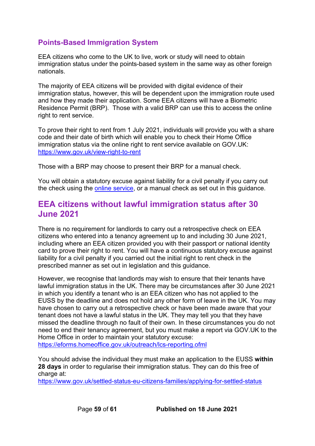### <span id="page-58-0"></span>**Points-Based Immigration System**

EEA citizens who come to the UK to live, work or study will need to obtain immigration status under the points-based system in the same way as other foreign nationals.

The majority of EEA citizens will be provided with digital evidence of their immigration status, however, this will be dependent upon the immigration route used and how they made their application. Some EEA citizens will have a Biometric Residence Permit (BRP). Those with a valid BRP can use this to access the online right to rent service.

To prove their right to rent from 1 July 2021, individuals will provide you with a share code and their date of birth which will enable you to check their Home Office immigration status via the online right to rent service available on GOV.UK: <https://www.gov.uk/view-right-to-rent>

Those with a BRP may choose to present their BRP for a manual check.

You will obtain a statutory excuse against liability for a civil penalty if you carry out the check using the [online service,](https://www.gov.uk/view-right-to-rent) or a manual check as set out in this quidance.

### <span id="page-58-1"></span>**EEA citizens without lawful immigration status after 30 June 2021**

There is no requirement for landlords to carry out a retrospective check on EEA citizens who entered into a tenancy agreement up to and including 30 June 2021, including where an EEA citizen provided you with their passport or national identity card to prove their right to rent. You will have a continuous statutory excuse against liability for a civil penalty if you carried out the initial right to rent check in the prescribed manner as set out in legislation and this guidance.

However, we recognise that landlords may wish to ensure that their tenants have lawful immigration status in the UK. There may be circumstances after 30 June 2021 in which you identify a tenant who is an EEA citizen who has not applied to the EUSS by the deadline and does not hold any other form of leave in the UK. You may have chosen to carry out a retrospective check or have been made aware that your tenant does not have a lawful status in the UK. They may tell you that they have missed the deadline through no fault of their own. In these circumstances you do not need to end their tenancy agreement, but you must make a report via GOV.UK to the Home Office in order to maintain your statutory excuse: <https://eforms.homeoffice.gov.uk/outreach/lcs-reporting.ofml>

You should advise the individual they must make an application to the EUSS **within 28 days** in order to regularise their immigration status. They can do this free of charge at:

<https://www.gov.uk/settled-status-eu-citizens-families/applying-for-settled-status>

Page **59** of **61 Published on 18 June 2021**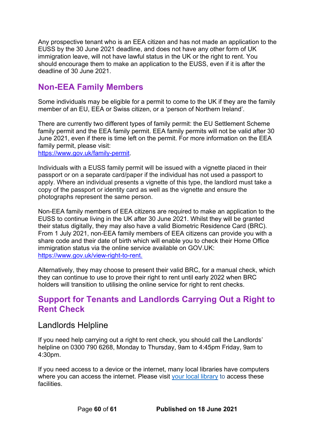Any prospective tenant who is an EEA citizen and has not made an application to the EUSS by the 30 June 2021 deadline, and does not have any other form of UK immigration leave, will not have lawful status in the UK or the right to rent. You should encourage them to make an application to the EUSS, even if it is after the deadline of 30 June 2021.

## <span id="page-59-0"></span>**Non-EEA Family Members**

Some individuals may be eligible for a permit to come to the UK if they are the family member of an EU, EEA or Swiss citizen, or a 'person of Northern Ireland'.

There are currently two different types of family permit: the EU Settlement Scheme family permit and the EEA family permit. EEA family permits will not be valid after 30 June 2021, even if there is time left on the permit. For more information on the EEA family permit, please visit:

[https://www.gov.uk/family-permit.](https://www.gov.uk/family-permit)

Individuals with a EUSS family permit will be issued with a vignette placed in their passport or on a separate card/paper if the individual has not used a passport to apply. Where an individual presents a vignette of this type, the landlord must take a copy of the passport or identity card as well as the vignette and ensure the photographs represent the same person.

Non-EEA family members of EEA citizens are required to make an application to the EUSS to continue living in the UK after 30 June 2021. Whilst they will be granted their status digitally, they may also have a valid Biometric Residence Card (BRC). From 1 July 2021, non-EEA family members of EEA citizens can provide you with a share code and their date of birth which will enable you to check their Home Office immigration status via the online service available on GOV.UK: [https://www.gov.uk/view-right-to-rent.](https://www.gov.uk/view-right-to-rent)

Alternatively, they may choose to present their valid BRC, for a manual check, which they can continue to use to prove their right to rent until early 2022 when BRC holders will transition to utilising the online service for right to rent checks.

### <span id="page-59-1"></span>**Support for Tenants and Landlords Carrying Out a Right to Rent Check**

### <span id="page-59-2"></span>Landlords Helpline

If you need help carrying out a right to rent check, you should call the Landlords' helpline on 0300 790 6268, Monday to Thursday, 9am to 4:45pm Friday, 9am to 4:30pm.

If you need access to a device or the internet, many local libraries have computers where you can access the internet. Please visit your [local library](https://www.gov.uk/local-library-services) to access these **facilities**